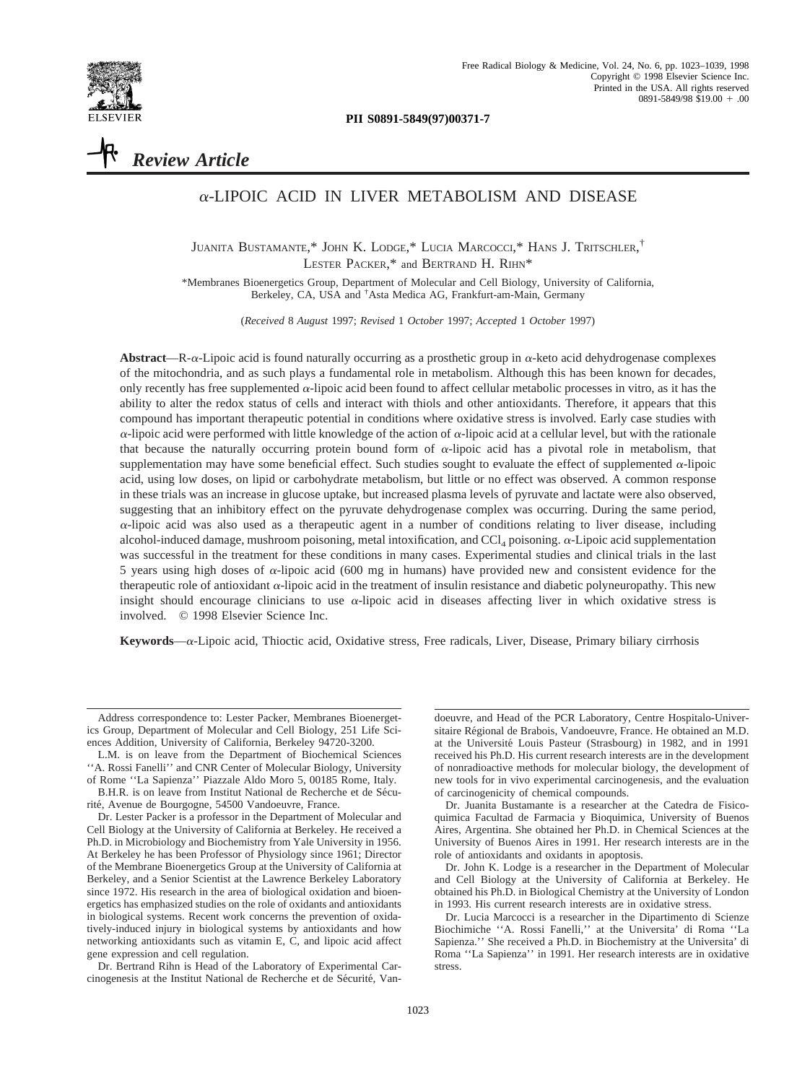

**PII S0891-5849(97)00371-7**

# *Review Article*

# $\alpha$ -LIPOIC ACID IN LIVER METABOLISM AND DISEASE

JUANITA BUSTAMANTE,\* JOHN K. LODGE,\* LUCIA MARCOCCI,\* HANS J. TRITSCHLER, † LESTER PACKER,\* and BERTRAND H. RIHN\*

\*Membranes Bioenergetics Group, Department of Molecular and Cell Biology, University of California, Berkeley, CA, USA and † Asta Medica AG, Frankfurt-am-Main, Germany

(*Received* 8 *August* 1997; *Revised* 1 *October* 1997; *Accepted* 1 *October* 1997)

Abstract—R- $\alpha$ -Lipoic acid is found naturally occurring as a prosthetic group in  $\alpha$ -keto acid dehydrogenase complexes of the mitochondria, and as such plays a fundamental role in metabolism. Although this has been known for decades, only recently has free supplemented  $\alpha$ -lipoic acid been found to affect cellular metabolic processes in vitro, as it has the ability to alter the redox status of cells and interact with thiols and other antioxidants. Therefore, it appears that this compound has important therapeutic potential in conditions where oxidative stress is involved. Early case studies with  $\alpha$ -lipoic acid were performed with little knowledge of the action of  $\alpha$ -lipoic acid at a cellular level, but with the rationale that because the naturally occurring protein bound form of  $\alpha$ -lipoic acid has a pivotal role in metabolism, that supplementation may have some beneficial effect. Such studies sought to evaluate the effect of supplemented  $\alpha$ -lipoic acid, using low doses, on lipid or carbohydrate metabolism, but little or no effect was observed. A common response in these trials was an increase in glucose uptake, but increased plasma levels of pyruvate and lactate were also observed, suggesting that an inhibitory effect on the pyruvate dehydrogenase complex was occurring. During the same period,  $\alpha$ -lipoic acid was also used as a therapeutic agent in a number of conditions relating to liver disease, including alcohol-induced damage, mushroom poisoning, metal intoxification, and CCl<sub>4</sub> poisoning.  $\alpha$ -Lipoic acid supplementation was successful in the treatment for these conditions in many cases. Experimental studies and clinical trials in the last 5 years using high doses of  $\alpha$ -lipoic acid (600 mg in humans) have provided new and consistent evidence for the therapeutic role of antioxidant <sup>a</sup>-lipoic acid in the treatment of insulin resistance and diabetic polyneuropathy. This new insight should encourage clinicians to use  $\alpha$ -lipoic acid in diseases affecting liver in which oxidative stress is involved. © 1998 Elsevier Science Inc.

**Keywords**—a-Lipoic acid, Thioctic acid, Oxidative stress, Free radicals, Liver, Disease, Primary biliary cirrhosis

doeuvre, and Head of the PCR Laboratory, Centre Hospitalo-Universitaire Régional de Brabois, Vandoeuvre, France. He obtained an M.D. at the Université Louis Pasteur (Strasbourg) in 1982, and in 1991 received his Ph.D. His current research interests are in the development of nonradioactive methods for molecular biology, the development of new tools for in vivo experimental carcinogenesis, and the evaluation of carcinogenicity of chemical compounds.

Dr. Juanita Bustamante is a researcher at the Catedra de Fisicoquimica Facultad de Farmacia y Bioquimica, University of Buenos Aires, Argentina. She obtained her Ph.D. in Chemical Sciences at the University of Buenos Aires in 1991. Her research interests are in the role of antioxidants and oxidants in apoptosis.

Dr. John K. Lodge is a researcher in the Department of Molecular and Cell Biology at the University of California at Berkeley. He obtained his Ph.D. in Biological Chemistry at the University of London in 1993. His current research interests are in oxidative stress.

Dr. Lucia Marcocci is a researcher in the Dipartimento di Scienze Biochimiche ''A. Rossi Fanelli,'' at the Universita' di Roma ''La Sapienza.'' She received a Ph.D. in Biochemistry at the Universita' di Roma ''La Sapienza'' in 1991. Her research interests are in oxidative stress.

Address correspondence to: Lester Packer, Membranes Bioenergetics Group, Department of Molecular and Cell Biology, 251 Life Sciences Addition, University of California, Berkeley 94720-3200.

L.M. is on leave from the Department of Biochemical Sciences ''A. Rossi Fanelli'' and CNR Center of Molecular Biology, University of Rome ''La Sapienza'' Piazzale Aldo Moro 5, 00185 Rome, Italy.

B.H.R. is on leave from Institut National de Recherche et de Sécurité, Avenue de Bourgogne, 54500 Vandoeuvre, France.

Dr. Lester Packer is a professor in the Department of Molecular and Cell Biology at the University of California at Berkeley. He received a Ph.D. in Microbiology and Biochemistry from Yale University in 1956. At Berkeley he has been Professor of Physiology since 1961; Director of the Membrane Bioenergetics Group at the University of California at Berkeley, and a Senior Scientist at the Lawrence Berkeley Laboratory since 1972. His research in the area of biological oxidation and bioenergetics has emphasized studies on the role of oxidants and antioxidants in biological systems. Recent work concerns the prevention of oxidatively-induced injury in biological systems by antioxidants and how networking antioxidants such as vitamin E, C, and lipoic acid affect gene expression and cell regulation.

Dr. Bertrand Rihn is Head of the Laboratory of Experimental Carcinogenesis at the Institut National de Recherche et de Sécurité, Van-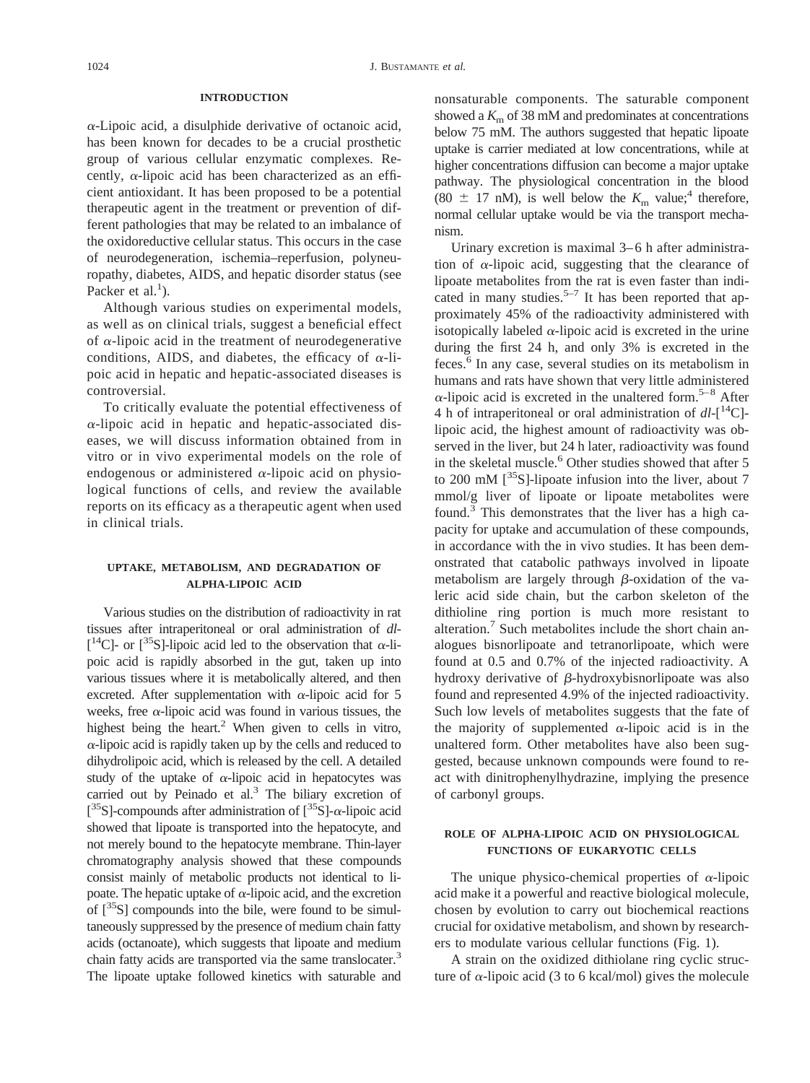#### **INTRODUCTION**

 $\alpha$ -Lipoic acid, a disulphide derivative of octanoic acid, has been known for decades to be a crucial prosthetic group of various cellular enzymatic complexes. Recently,  $\alpha$ -lipoic acid has been characterized as an efficient antioxidant. It has been proposed to be a potential therapeutic agent in the treatment or prevention of different pathologies that may be related to an imbalance of the oxidoreductive cellular status. This occurs in the case of neurodegeneration, ischemia–reperfusion, polyneuropathy, diabetes, AIDS, and hepatic disorder status (see Packer et al.<sup>1</sup>).

Although various studies on experimental models, as well as on clinical trials, suggest a beneficial effect of  $\alpha$ -lipoic acid in the treatment of neurodegenerative conditions, AIDS, and diabetes, the efficacy of  $\alpha$ -lipoic acid in hepatic and hepatic-associated diseases is controversial.

To critically evaluate the potential effectiveness of  $\alpha$ -lipoic acid in hepatic and hepatic-associated diseases, we will discuss information obtained from in vitro or in vivo experimental models on the role of endogenous or administered  $\alpha$ -lipoic acid on physiological functions of cells, and review the available reports on its efficacy as a therapeutic agent when used in clinical trials.

### **UPTAKE, METABOLISM, AND DEGRADATION OF ALPHA-LIPOIC ACID**

Various studies on the distribution of radioactivity in rat tissues after intraperitoneal or oral administration of *dl*- [ $^{14}$ C]- or [ $^{35}$ S]-lipoic acid led to the observation that  $\alpha$ -lipoic acid is rapidly absorbed in the gut, taken up into various tissues where it is metabolically altered, and then excreted. After supplementation with  $\alpha$ -lipoic acid for 5 weeks, free  $\alpha$ -lipoic acid was found in various tissues, the highest being the heart.<sup>2</sup> When given to cells in vitro,  $\alpha$ -lipoic acid is rapidly taken up by the cells and reduced to dihydrolipoic acid, which is released by the cell. A detailed study of the uptake of  $\alpha$ -lipoic acid in hepatocytes was carried out by Peinado et al.<sup>3</sup> The biliary excretion of [ ${}^{35}$ S]-compounds after administration of [ ${}^{35}$ S]- $\alpha$ -lipoic acid showed that lipoate is transported into the hepatocyte, and not merely bound to the hepatocyte membrane. Thin-layer chromatography analysis showed that these compounds consist mainly of metabolic products not identical to lipoate. The hepatic uptake of  $\alpha$ -lipoic acid, and the excretion of  $\int^{35}S$ ] compounds into the bile, were found to be simultaneously suppressed by the presence of medium chain fatty acids (octanoate), which suggests that lipoate and medium chain fatty acids are transported via the same translocater.<sup>3</sup> The lipoate uptake followed kinetics with saturable and

nonsaturable components. The saturable component showed a  $K<sub>m</sub>$  of 38 mM and predominates at concentrations below 75 mM. The authors suggested that hepatic lipoate uptake is carrier mediated at low concentrations, while at higher concentrations diffusion can become a major uptake pathway. The physiological concentration in the blood (80  $\pm$  17 nM), is well below the  $K<sub>m</sub>$  value;<sup>4</sup> therefore, normal cellular uptake would be via the transport mechanism.

Urinary excretion is maximal 3–6 h after administration of  $\alpha$ -lipoic acid, suggesting that the clearance of lipoate metabolites from the rat is even faster than indicated in many studies.<sup>5–7</sup> It has been reported that approximately 45% of the radioactivity administered with isotopically labeled  $\alpha$ -lipoic acid is excreted in the urine during the first 24 h, and only 3% is excreted in the feces.6 In any case, several studies on its metabolism in humans and rats have shown that very little administered  $\alpha$ -lipoic acid is excreted in the unaltered form.<sup>5–8</sup> After 4 h of intraperitoneal or oral administration of  $dl-[$ <sup>14</sup>C]lipoic acid, the highest amount of radioactivity was observed in the liver, but 24 h later, radioactivity was found in the skeletal muscle.<sup>6</sup> Other studies showed that after 5 to 200 mM  $\left[\right]$ <sup>35</sup>S]-lipoate infusion into the liver, about 7 mmol/g liver of lipoate or lipoate metabolites were found.3 This demonstrates that the liver has a high capacity for uptake and accumulation of these compounds, in accordance with the in vivo studies. It has been demonstrated that catabolic pathways involved in lipoate metabolism are largely through  $\beta$ -oxidation of the valeric acid side chain, but the carbon skeleton of the dithioline ring portion is much more resistant to alteration.<sup>7</sup> Such metabolites include the short chain analogues bisnorlipoate and tetranorlipoate, which were found at 0.5 and 0.7% of the injected radioactivity. A hydroxy derivative of  $\beta$ -hydroxybisnorlipoate was also found and represented 4.9% of the injected radioactivity. Such low levels of metabolites suggests that the fate of the majority of supplemented  $\alpha$ -lipoic acid is in the unaltered form. Other metabolites have also been suggested, because unknown compounds were found to react with dinitrophenylhydrazine, implying the presence of carbonyl groups.

## **ROLE OF ALPHA-LIPOIC ACID ON PHYSIOLOGICAL FUNCTIONS OF EUKARYOTIC CELLS**

The unique physico-chemical properties of  $\alpha$ -lipoic acid make it a powerful and reactive biological molecule, chosen by evolution to carry out biochemical reactions crucial for oxidative metabolism, and shown by researchers to modulate various cellular functions (Fig. 1).

A strain on the oxidized dithiolane ring cyclic structure of  $\alpha$ -lipoic acid (3 to 6 kcal/mol) gives the molecule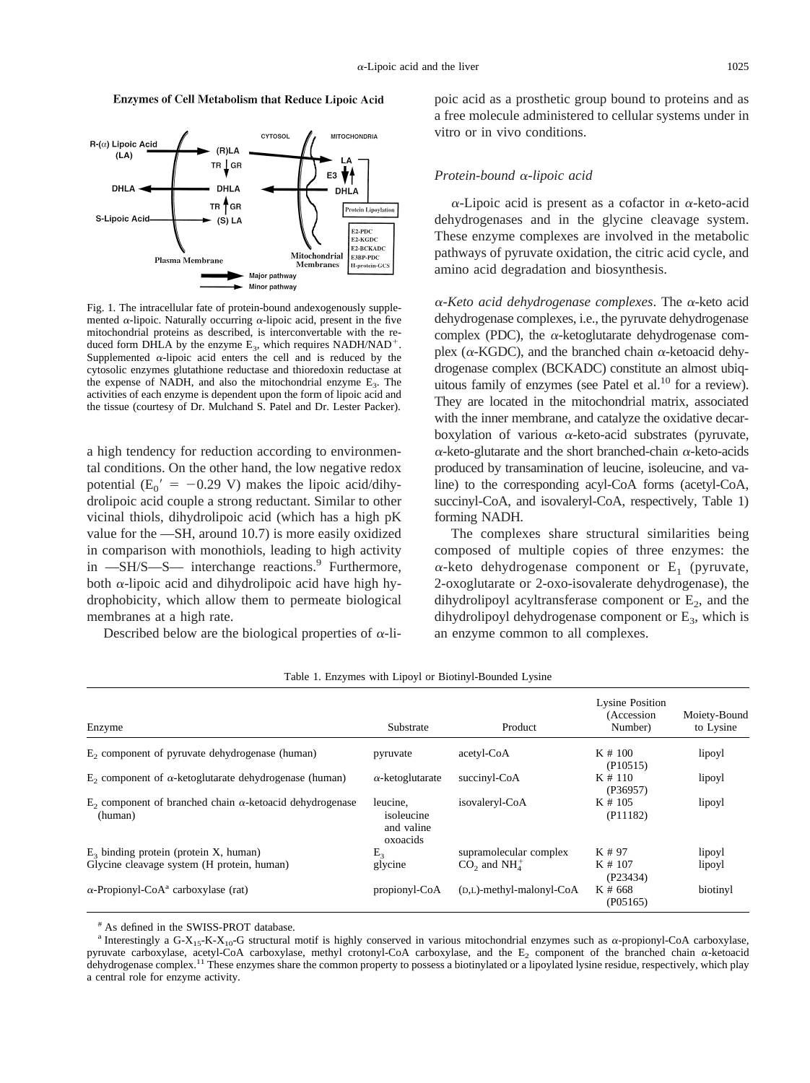Enzymes of Cell Metabolism that Reduce Lipoic Acid



Fig. 1. The intracellular fate of protein-bound andexogenously supplemented  $\alpha$ -lipoic. Naturally occurring  $\alpha$ -lipoic acid, present in the five mitochondrial proteins as described, is interconvertable with the reduced form DHLA by the enzyme  $E_3$ , which requires NADH/NAD<sup>+</sup>. Supplemented  $\alpha$ -lipoic acid enters the cell and is reduced by the cytosolic enzymes glutathione reductase and thioredoxin reductase at the expense of NADH, and also the mitochondrial enzyme  $E_3$ . The activities of each enzyme is dependent upon the form of lipoic acid and the tissue (courtesy of Dr. Mulchand S. Patel and Dr. Lester Packer).

a high tendency for reduction according to environmental conditions. On the other hand, the low negative redox potential ( $E_0' = -0.29$  V) makes the lipoic acid/dihydrolipoic acid couple a strong reductant. Similar to other vicinal thiols, dihydrolipoic acid (which has a high pK value for the —SH, around 10.7) is more easily oxidized in comparison with monothiols, leading to high activity in  $-SH/S-S-$  interchange reactions.<sup>9</sup> Furthermore, both  $\alpha$ -lipoic acid and dihydrolipoic acid have high hydrophobicity, which allow them to permeate biological membranes at a high rate.

Described below are the biological properties of  $\alpha$ -li-

poic acid as a prosthetic group bound to proteins and as a free molecule administered to cellular systems under in vitro or in vivo conditions.

#### *Protein-bound* <sup>a</sup>*-lipoic acid*

 $\alpha$ -Lipoic acid is present as a cofactor in  $\alpha$ -keto-acid dehydrogenases and in the glycine cleavage system. These enzyme complexes are involved in the metabolic pathways of pyruvate oxidation, the citric acid cycle, and amino acid degradation and biosynthesis.

<sup>a</sup>*-Keto acid dehydrogenase complexes*. The <sup>a</sup>-keto acid dehydrogenase complexes, i.e., the pyruvate dehydrogenase complex (PDC), the  $\alpha$ -ketoglutarate dehydrogenase complex ( $\alpha$ -KGDC), and the branched chain  $\alpha$ -ketoacid dehydrogenase complex (BCKADC) constitute an almost ubiquitous family of enzymes (see Patel et al.<sup>10</sup> for a review). They are located in the mitochondrial matrix, associated with the inner membrane, and catalyze the oxidative decarboxylation of various  $\alpha$ -keto-acid substrates (pyruvate,  $\alpha$ -keto-glutarate and the short branched-chain  $\alpha$ -keto-acids produced by transamination of leucine, isoleucine, and valine) to the corresponding acyl-CoA forms (acetyl-CoA, succinyl-CoA, and isovaleryl-CoA, respectively, Table 1) forming NADH.

The complexes share structural similarities being composed of multiple copies of three enzymes: the  $\alpha$ -keto dehydrogenase component or E<sub>1</sub> (pyruvate, 2-oxoglutarate or 2-oxo-isovalerate dehydrogenase), the dihydrolipoyl acyltransferase component or  $E_2$ , and the dihydrolipoyl dehydrogenase component or  $E_3$ , which is an enzyme common to all complexes.

| Enzyme                                                                        | Substrate                                        | Product                                | <b>Lysine Position</b><br>(Accession)<br>Number) | Moiety-Bound<br>to Lysine |
|-------------------------------------------------------------------------------|--------------------------------------------------|----------------------------------------|--------------------------------------------------|---------------------------|
| E <sub>2</sub> component of pyruvate dehydrogenase (human)                    | pyruvate                                         | acetyl-CoA                             | $K \neq 100$<br>(P10515)                         | lipoyl                    |
| E <sub>2</sub> component of α-ketoglutarate dehydrogenase (human)             | $\alpha$ -ketoglutarate                          | succinyl-CoA                           | K#110<br>(P36957)                                | lipoyl                    |
| $E_2$ component of branched chain $\alpha$ -ketoacid dehydrogenase<br>(human) | leucine.<br>isoleucine<br>and valine<br>oxoacids | isovaleryl-CoA                         | $K \neq 105$<br>(P11182)                         | lipoyl                    |
| $E_3$ binding protein (protein X, human)                                      | E <sub>3</sub>                                   | supramolecular complex                 | K # 97                                           | lipoyl                    |
| Glycine cleavage system (H protein, human)                                    | glycine                                          | $CO2$ and NH <sub>4</sub> <sup>+</sup> | $K \# 107$<br>(P23434)                           | lipoyl                    |
| $\alpha$ -Propionyl-CoA <sup>a</sup> carboxylase (rat)                        | propionyl-CoA                                    | $(D,L)$ -methyl-malonyl-CoA            | K # 668<br>(P05165)                              | biotinyl                  |

Table 1. Enzymes with Lipoyl or Biotinyl-Bounded Lysine

# As defined in the SWISS-PROT database.

<sup>&</sup>lt;sup>a</sup> Interestingly a G-X<sub>15</sub>-K-X<sub>10</sub>-G structural motif is highly conserved in various mitochondrial enzymes such as  $\alpha$ -propionyl-CoA carboxylase, pyruvate carboxylase, acetyl-CoA carboxylase, methyl crotonyl-CoA carboxylase, and the  $E_2$  component of the branched chain  $\alpha$ -ketoacid dehydrogenase complex.<sup>11</sup> These enzymes share the common property to possess a biotinylated or a lipoylated lysine residue, respectively, which play a central role for enzyme activity.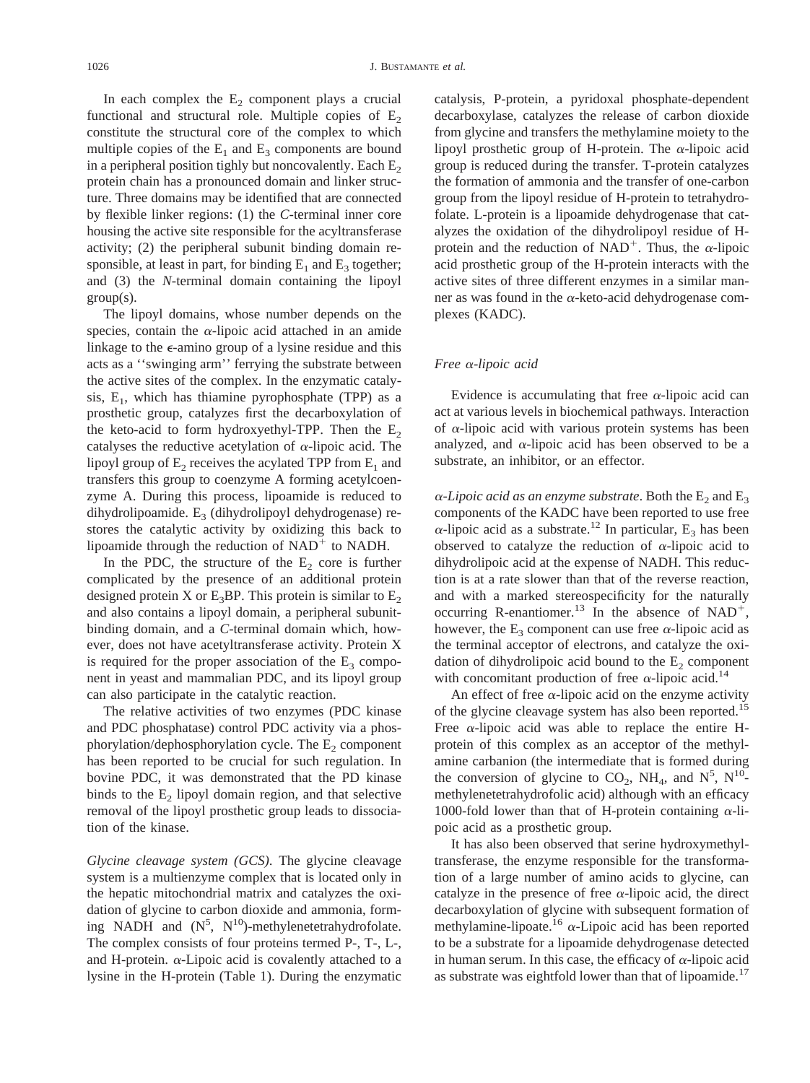In each complex the  $E<sub>2</sub>$  component plays a crucial functional and structural role. Multiple copies of  $E_2$ constitute the structural core of the complex to which multiple copies of the  $E_1$  and  $E_3$  components are bound in a peripheral position tighly but noncovalently. Each  $E_2$ protein chain has a pronounced domain and linker structure. Three domains may be identified that are connected by flexible linker regions: (1) the *C*-terminal inner core housing the active site responsible for the acyltransferase activity; (2) the peripheral subunit binding domain responsible, at least in part, for binding  $E_1$  and  $E_3$  together; and (3) the *N*-terminal domain containing the lipoyl group(s).

The lipoyl domains, whose number depends on the species, contain the  $\alpha$ -lipoic acid attached in an amide linkage to the <sup>e</sup>-amino group of a lysine residue and this acts as a ''swinging arm'' ferrying the substrate between the active sites of the complex. In the enzymatic catalysis,  $E_1$ , which has thiamine pyrophosphate (TPP) as a prosthetic group, catalyzes first the decarboxylation of the keto-acid to form hydroxyethyl-TPP. Then the  $E_2$ catalyses the reductive acetylation of  $\alpha$ -lipoic acid. The lipoyl group of  $E_2$  receives the acylated TPP from  $E_1$  and transfers this group to coenzyme A forming acetylcoenzyme A. During this process, lipoamide is reduced to dihydrolipoamide.  $E_3$  (dihydrolipoyl dehydrogenase) restores the catalytic activity by oxidizing this back to lipoamide through the reduction of  $NAD<sup>+</sup>$  to NADH.

In the PDC, the structure of the  $E<sub>2</sub>$  core is further complicated by the presence of an additional protein designed protein X or  $E_3BP$ . This protein is similar to  $E_2$ and also contains a lipoyl domain, a peripheral subunitbinding domain, and a *C*-terminal domain which, however, does not have acetyltransferase activity. Protein X is required for the proper association of the  $E_3$  component in yeast and mammalian PDC, and its lipoyl group can also participate in the catalytic reaction.

The relative activities of two enzymes (PDC kinase and PDC phosphatase) control PDC activity via a phosphorylation/dephosphorylation cycle. The  $E<sub>2</sub>$  component has been reported to be crucial for such regulation. In bovine PDC, it was demonstrated that the PD kinase binds to the  $E<sub>2</sub>$  lipoyl domain region, and that selective removal of the lipoyl prosthetic group leads to dissociation of the kinase.

*Glycine cleavage system (GCS)*. The glycine cleavage system is a multienzyme complex that is located only in the hepatic mitochondrial matrix and catalyzes the oxidation of glycine to carbon dioxide and ammonia, forming NADH and  $(N^5, N^{10})$ -methylenetetrahydrofolate. The complex consists of four proteins termed P-, T-, L-, and H-protein.  $\alpha$ -Lipoic acid is covalently attached to a lysine in the H-protein (Table 1). During the enzymatic

catalysis, P-protein, a pyridoxal phosphate-dependent decarboxylase, catalyzes the release of carbon dioxide from glycine and transfers the methylamine moiety to the lipoyl prosthetic group of H-protein. The  $\alpha$ -lipoic acid group is reduced during the transfer. T-protein catalyzes the formation of ammonia and the transfer of one-carbon group from the lipoyl residue of H-protein to tetrahydrofolate. L-protein is a lipoamide dehydrogenase that catalyzes the oxidation of the dihydrolipoyl residue of Hprotein and the reduction of NAD<sup>+</sup>. Thus, the  $\alpha$ -lipoic acid prosthetic group of the H-protein interacts with the active sites of three different enzymes in a similar manner as was found in the  $\alpha$ -keto-acid dehydrogenase complexes (KADC).

#### *Free* <sup>a</sup>*-lipoic acid*

Evidence is accumulating that free  $\alpha$ -lipoic acid can act at various levels in biochemical pathways. Interaction of  $\alpha$ -lipoic acid with various protein systems has been analyzed, and  $\alpha$ -lipoic acid has been observed to be a substrate, an inhibitor, or an effector.

 $\alpha$ -Lipoic acid as an enzyme substrate. Both the E<sub>2</sub> and E<sub>3</sub> components of the KADC have been reported to use free  $\alpha$ -lipoic acid as a substrate.<sup>12</sup> In particular, E<sub>3</sub> has been observed to catalyze the reduction of  $\alpha$ -lipoic acid to dihydrolipoic acid at the expense of NADH. This reduction is at a rate slower than that of the reverse reaction, and with a marked stereospecificity for the naturally occurring R-enantiomer.<sup>13</sup> In the absence of NAD<sup>+</sup>, however, the  $E_3$  component can use free  $\alpha$ -lipoic acid as the terminal acceptor of electrons, and catalyze the oxidation of dihydrolipoic acid bound to the  $E_2$  component with concomitant production of free  $\alpha$ -lipoic acid.<sup>14</sup>

An effect of free  $\alpha$ -lipoic acid on the enzyme activity of the glycine cleavage system has also been reported.<sup>15</sup> Free  $\alpha$ -lipoic acid was able to replace the entire Hprotein of this complex as an acceptor of the methylamine carbanion (the intermediate that is formed during the conversion of glycine to  $CO_2$ , NH<sub>4</sub>, and N<sup>5</sup>, N<sup>10</sup>methylenetetrahydrofolic acid) although with an efficacy 1000-fold lower than that of H-protein containing  $\alpha$ -lipoic acid as a prosthetic group.

It has also been observed that serine hydroxymethyltransferase, the enzyme responsible for the transformation of a large number of amino acids to glycine, can catalyze in the presence of free  $\alpha$ -lipoic acid, the direct decarboxylation of glycine with subsequent formation of methylamine-lipoate.<sup>16</sup>  $\alpha$ -Lipoic acid has been reported to be a substrate for a lipoamide dehydrogenase detected in human serum. In this case, the efficacy of  $\alpha$ -lipoic acid as substrate was eightfold lower than that of lipoamide.<sup>17</sup>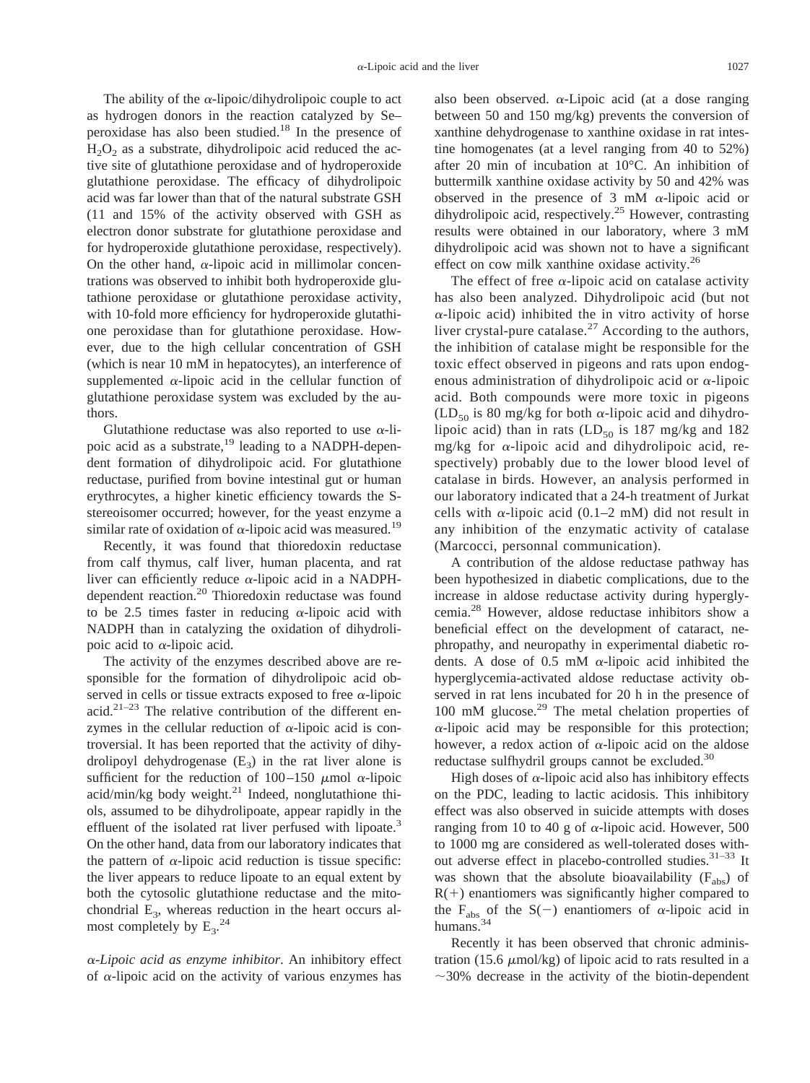The ability of the  $\alpha$ -lipoic/dihydrolipoic couple to act as hydrogen donors in the reaction catalyzed by Se– peroxidase has also been studied.18 In the presence of  $H<sub>2</sub>O<sub>2</sub>$  as a substrate, dihydrolipoic acid reduced the active site of glutathione peroxidase and of hydroperoxide glutathione peroxidase. The efficacy of dihydrolipoic acid was far lower than that of the natural substrate GSH (11 and 15% of the activity observed with GSH as electron donor substrate for glutathione peroxidase and for hydroperoxide glutathione peroxidase, respectively). On the other hand,  $\alpha$ -lipoic acid in millimolar concentrations was observed to inhibit both hydroperoxide glutathione peroxidase or glutathione peroxidase activity, with 10-fold more efficiency for hydroperoxide glutathione peroxidase than for glutathione peroxidase. However, due to the high cellular concentration of GSH (which is near 10 mM in hepatocytes), an interference of supplemented  $\alpha$ -lipoic acid in the cellular function of glutathione peroxidase system was excluded by the authors.

Glutathione reductase was also reported to use  $\alpha$ -lipoic acid as a substrate,<sup>19</sup> leading to a NADPH-dependent formation of dihydrolipoic acid. For glutathione reductase, purified from bovine intestinal gut or human erythrocytes, a higher kinetic efficiency towards the Sstereoisomer occurred; however, for the yeast enzyme a similar rate of oxidation of  $\alpha$ -lipoic acid was measured.<sup>19</sup>

Recently, it was found that thioredoxin reductase from calf thymus, calf liver, human placenta, and rat liver can efficiently reduce  $\alpha$ -lipoic acid in a NADPHdependent reaction.20 Thioredoxin reductase was found to be 2.5 times faster in reducing  $\alpha$ -lipoic acid with NADPH than in catalyzing the oxidation of dihydrolipoic acid to  $\alpha$ -lipoic acid.

The activity of the enzymes described above are responsible for the formation of dihydrolipoic acid observed in cells or tissue extracts exposed to free  $\alpha$ -lipoic acid. $2^{1-23}$  The relative contribution of the different enzymes in the cellular reduction of  $\alpha$ -lipoic acid is controversial. It has been reported that the activity of dihydrolipoyl dehydrogenase  $(E_3)$  in the rat liver alone is sufficient for the reduction of 100–150  $\mu$ mol  $\alpha$ -lipoic acid/min/kg body weight. $^{21}$  Indeed, nonglutathione thiols, assumed to be dihydrolipoate, appear rapidly in the effluent of the isolated rat liver perfused with lipoate.<sup>3</sup> On the other hand, data from our laboratory indicates that the pattern of  $\alpha$ -lipoic acid reduction is tissue specific: the liver appears to reduce lipoate to an equal extent by both the cytosolic glutathione reductase and the mitochondrial  $E_3$ , whereas reduction in the heart occurs almost completely by  $E_3$ .<sup>24</sup>

<sup>a</sup>*-Lipoic acid as enzyme inhibitor*. An inhibitory effect of  $\alpha$ -lipoic acid on the activity of various enzymes has

also been observed.  $\alpha$ -Lipoic acid (at a dose ranging between 50 and 150 mg/kg) prevents the conversion of xanthine dehydrogenase to xanthine oxidase in rat intestine homogenates (at a level ranging from 40 to 52%) after 20 min of incubation at 10°C. An inhibition of buttermilk xanthine oxidase activity by 50 and 42% was observed in the presence of 3 mM  $\alpha$ -lipoic acid or dihydrolipoic acid, respectively.<sup>25</sup> However, contrasting results were obtained in our laboratory, where 3 mM dihydrolipoic acid was shown not to have a significant effect on cow milk xanthine oxidase activity.26

The effect of free  $\alpha$ -lipoic acid on catalase activity has also been analyzed. Dihydrolipoic acid (but not  $\alpha$ -lipoic acid) inhibited the in vitro activity of horse liver crystal-pure catalase. $27$  According to the authors, the inhibition of catalase might be responsible for the toxic effect observed in pigeons and rats upon endogenous administration of dihydrolipoic acid or  $\alpha$ -lipoic acid. Both compounds were more toxic in pigeons  $(LD_{50}$  is 80 mg/kg for both  $\alpha$ -lipoic acid and dihydrolipoic acid) than in rats  $(LD_{50}$  is 187 mg/kg and 182 mg/kg for  $\alpha$ -lipoic acid and dihydrolipoic acid, respectively) probably due to the lower blood level of catalase in birds. However, an analysis performed in our laboratory indicated that a 24-h treatment of Jurkat cells with  $\alpha$ -lipoic acid (0.1–2 mM) did not result in any inhibition of the enzymatic activity of catalase (Marcocci, personnal communication).

A contribution of the aldose reductase pathway has been hypothesized in diabetic complications, due to the increase in aldose reductase activity during hyperglycemia.28 However, aldose reductase inhibitors show a beneficial effect on the development of cataract, nephropathy, and neuropathy in experimental diabetic rodents. A dose of 0.5 mM  $\alpha$ -lipoic acid inhibited the hyperglycemia-activated aldose reductase activity observed in rat lens incubated for 20 h in the presence of 100 mM glucose.29 The metal chelation properties of  $\alpha$ -lipoic acid may be responsible for this protection; however, a redox action of  $\alpha$ -lipoic acid on the aldose reductase sulfhydril groups cannot be excluded.<sup>30</sup>

High doses of  $\alpha$ -lipoic acid also has inhibitory effects on the PDC, leading to lactic acidosis. This inhibitory effect was also observed in suicide attempts with doses ranging from 10 to 40 g of  $\alpha$ -lipoic acid. However, 500 to 1000 mg are considered as well-tolerated doses without adverse effect in placebo-controlled studies. $31-33$  It was shown that the absolute bioavailability  $(F_{abc})$  of  $R(+)$  enantiomers was significantly higher compared to the F<sub>abs</sub> of the S(-) enantiomers of  $\alpha$ -lipoic acid in humans.<sup>34</sup>

Recently it has been observed that chronic administration (15.6  $\mu$ mol/kg) of lipoic acid to rats resulted in a  $\sim$ 30% decrease in the activity of the biotin-dependent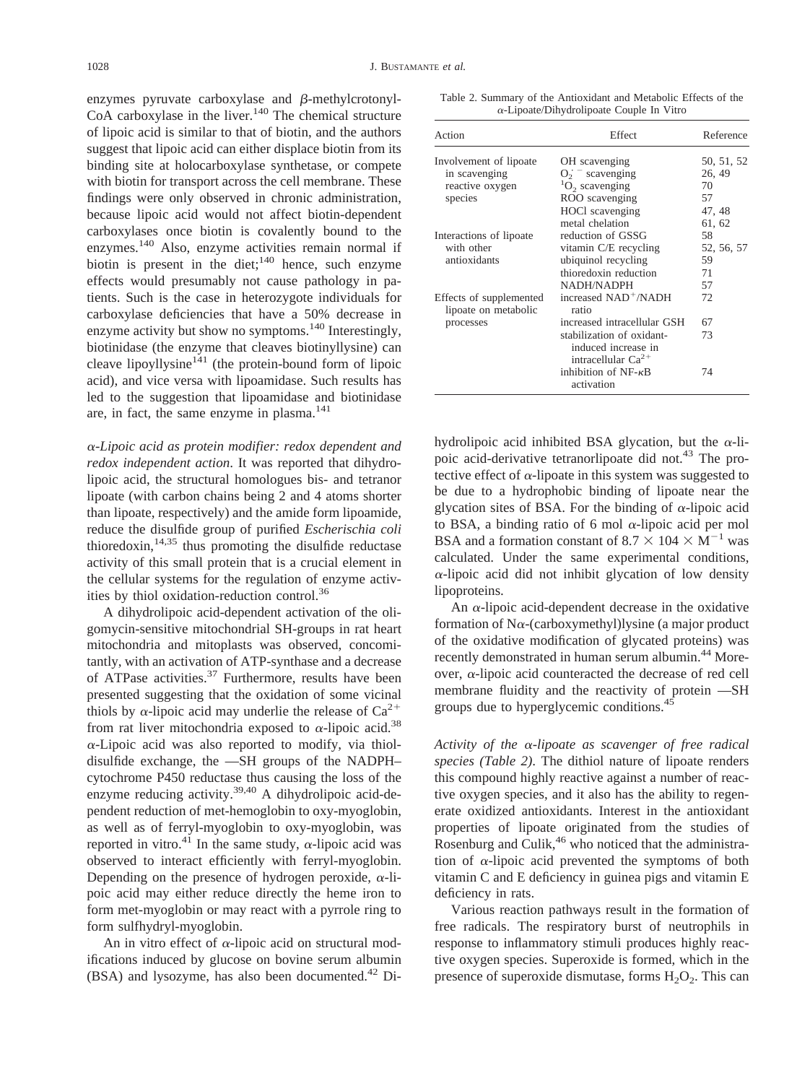enzymes pyruvate carboxylase and  $\beta$ -methylcrotonyl-CoA carboxylase in the liver.<sup>140</sup> The chemical structure of lipoic acid is similar to that of biotin, and the authors suggest that lipoic acid can either displace biotin from its binding site at holocarboxylase synthetase, or compete with biotin for transport across the cell membrane. These findings were only observed in chronic administration, because lipoic acid would not affect biotin-dependent carboxylases once biotin is covalently bound to the enzymes.140 Also, enzyme activities remain normal if biotin is present in the diet; $140$  hence, such enzyme effects would presumably not cause pathology in patients. Such is the case in heterozygote individuals for carboxylase deficiencies that have a 50% decrease in enzyme activity but show no symptoms.<sup>140</sup> Interestingly, biotinidase (the enzyme that cleaves biotinyllysine) can cleave lipoyllysine $141$  (the protein-bound form of lipoic acid), and vice versa with lipoamidase. Such results has led to the suggestion that lipoamidase and biotinidase are, in fact, the same enzyme in plasma.<sup>141</sup>

<sup>a</sup>*-Lipoic acid as protein modifier: redox dependent and redox independent action*. It was reported that dihydrolipoic acid, the structural homologues bis- and tetranor lipoate (with carbon chains being 2 and 4 atoms shorter than lipoate, respectively) and the amide form lipoamide, reduce the disulfide group of purified *Escherischia coli* thioredoxin, $14,35$  thus promoting the disulfide reductase activity of this small protein that is a crucial element in the cellular systems for the regulation of enzyme activities by thiol oxidation-reduction control.36

A dihydrolipoic acid-dependent activation of the oligomycin-sensitive mitochondrial SH-groups in rat heart mitochondria and mitoplasts was observed, concomitantly, with an activation of ATP-synthase and a decrease of ATPase activities.<sup>37</sup> Furthermore, results have been presented suggesting that the oxidation of some vicinal thiols by  $\alpha$ -lipoic acid may underlie the release of  $Ca^{2+}$ from rat liver mitochondria exposed to  $\alpha$ -lipoic acid.<sup>38</sup>  $\alpha$ -Lipoic acid was also reported to modify, via thioldisulfide exchange, the —SH groups of the NADPH– cytochrome P450 reductase thus causing the loss of the enzyme reducing activity.<sup>39,40</sup> A dihydrolipoic acid-dependent reduction of met-hemoglobin to oxy-myoglobin, as well as of ferryl-myoglobin to oxy-myoglobin, was reported in vitro.<sup>41</sup> In the same study,  $\alpha$ -lipoic acid was observed to interact efficiently with ferryl-myoglobin. Depending on the presence of hydrogen peroxide,  $\alpha$ -lipoic acid may either reduce directly the heme iron to form met-myoglobin or may react with a pyrrole ring to form sulfhydryl-myoglobin.

An in vitro effect of  $\alpha$ -lipoic acid on structural modifications induced by glucose on bovine serum albumin  $(BSA)$  and lysozyme, has also been documented.<sup>42</sup> DiTable 2. Summary of the Antioxidant and Metabolic Effects of the <sup>a</sup>-Lipoate/Dihydrolipoate Couple In Vitro

| Action                                          | Effect                                                                      | Reference  |
|-------------------------------------------------|-----------------------------------------------------------------------------|------------|
| Involvement of lipoate                          | OH scavenging                                                               | 50, 51, 52 |
| in scavenging                                   | $O2$ scavenging                                                             | 26, 49     |
| reactive oxygen                                 | ${}^{1}O_{2}$ scavenging                                                    | 70         |
| species                                         | ROO scavenging                                                              | 57         |
|                                                 | HOCl scavenging                                                             | 47, 48     |
|                                                 | metal chelation                                                             | 61, 62     |
| Interactions of lipoate<br>with other           | reduction of GSSG                                                           | 58         |
|                                                 | vitamin C/E recycling                                                       | 52, 56, 57 |
| antioxidants                                    | ubiquinol recycling                                                         | 59         |
|                                                 | thioredoxin reduction                                                       | 71         |
|                                                 | NADH/NADPH                                                                  | 57         |
| Effects of supplemented<br>lipoate on metabolic | increased NAD <sup>+</sup> /NADH<br>ratio                                   | 72         |
| processes                                       | increased intracellular GSH                                                 | 67         |
|                                                 | stabilization of oxidant-<br>induced increase in<br>intracellular $Ca^{2+}$ | 73         |
|                                                 | inhibition of $NF - \kappa B$<br>activation                                 | 74         |

hydrolipoic acid inhibited BSA glycation, but the  $\alpha$ -lipoic acid-derivative tetranorlipoate did not.<sup>43</sup> The protective effect of  $\alpha$ -lipoate in this system was suggested to be due to a hydrophobic binding of lipoate near the glycation sites of BSA. For the binding of  $\alpha$ -lipoic acid to BSA, a binding ratio of 6 mol  $\alpha$ -lipoic acid per mol BSA and a formation constant of  $8.7 \times 104 \times M^{-1}$  was calculated. Under the same experimental conditions,  $\alpha$ -lipoic acid did not inhibit glycation of low density lipoproteins.

An  $\alpha$ -lipoic acid-dependent decrease in the oxidative formation of N $\alpha$ -(carboxymethyl)lysine (a major product of the oxidative modification of glycated proteins) was recently demonstrated in human serum albumin.<sup>44</sup> Moreover,  $\alpha$ -lipoic acid counteracted the decrease of red cell membrane fluidity and the reactivity of protein —SH groups due to hyperglycemic conditions.<sup>45</sup>

*Activity of the* <sup>a</sup>*-lipoate as scavenger of free radical species (Table 2)*. The dithiol nature of lipoate renders this compound highly reactive against a number of reactive oxygen species, and it also has the ability to regenerate oxidized antioxidants. Interest in the antioxidant properties of lipoate originated from the studies of Rosenburg and Culik, $46$  who noticed that the administration of  $\alpha$ -lipoic acid prevented the symptoms of both vitamin C and E deficiency in guinea pigs and vitamin E deficiency in rats.

Various reaction pathways result in the formation of free radicals. The respiratory burst of neutrophils in response to inflammatory stimuli produces highly reactive oxygen species. Superoxide is formed, which in the presence of superoxide dismutase, forms  $H_2O_2$ . This can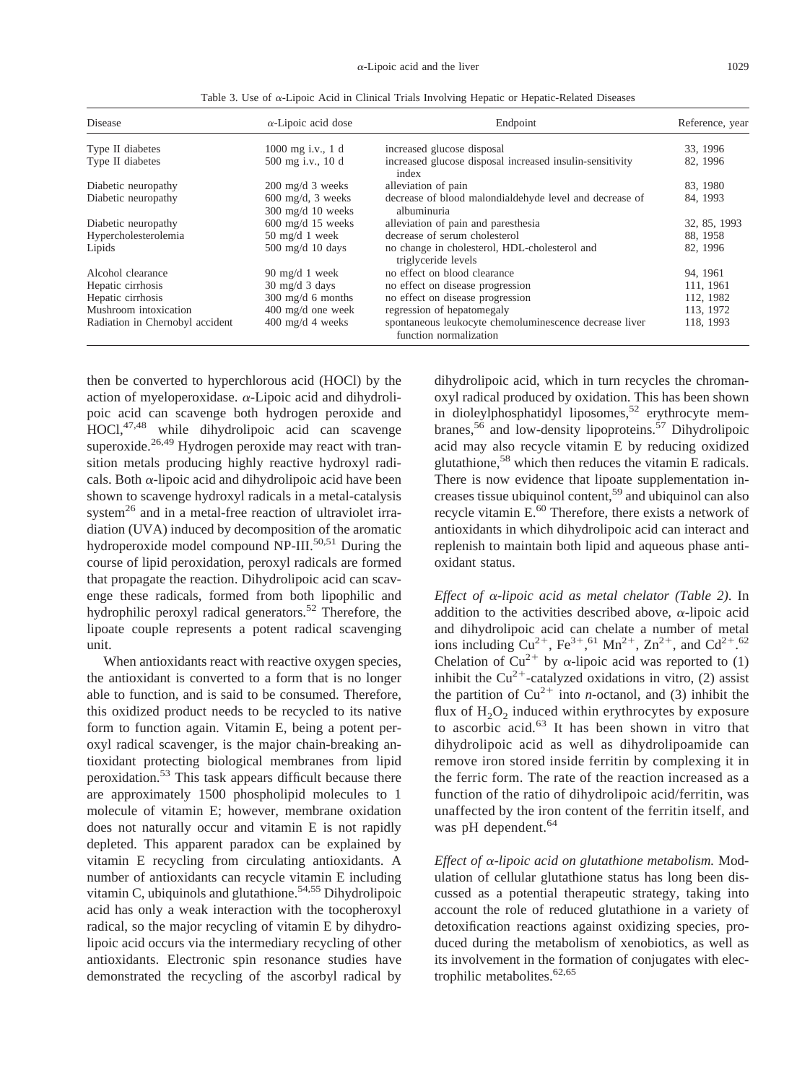| Disease                         | $\alpha$ -Lipoic acid dose                                  | Endpoint                                                                         | Reference, year |  |
|---------------------------------|-------------------------------------------------------------|----------------------------------------------------------------------------------|-----------------|--|
| Type II diabetes                | $1000$ mg i.v., 1 d<br>increased glucose disposal           |                                                                                  | 33, 1996        |  |
| Type II diabetes                | 500 mg i.v., 10 d                                           | increased glucose disposal increased insulin-sensitivity<br>index                | 82, 1996        |  |
| Diabetic neuropathy             | $200 \text{ mg/d}$ 3 weeks                                  | alleviation of pain                                                              | 83, 1980        |  |
| Diabetic neuropathy             | $600 \text{ mg/d}$ , 3 weeks<br>$300 \text{ mg/d}$ 10 weeks | decrease of blood malondialdehyde level and decrease of<br>albuminuria           | 84, 1993        |  |
| Diabetic neuropathy             | $600$ mg/d 15 weeks                                         | alleviation of pain and paresthesia                                              | 32, 85, 1993    |  |
| Hypercholesterolemia            | $50 \text{ mg/d}$ 1 week                                    | decrease of serum cholesterol                                                    | 88, 1958        |  |
| Lipids                          | $500$ mg/d 10 days                                          | no change in cholesterol, HDL-cholesterol and<br>triglyceride levels             | 82, 1996        |  |
| Alcohol clearance               | 90 mg/d 1 week                                              | no effect on blood clearance                                                     | 94.1961         |  |
| Hepatic cirrhosis               | $30 \text{ mg/d}$ 3 days                                    | no effect on disease progression                                                 | 111, 1961       |  |
| Hepatic cirrhosis               | $300 \text{ mg/d}$ 6 months                                 | no effect on disease progression                                                 | 112, 1982       |  |
| Mushroom intoxication           | $400 \text{ mg/d}$ one week                                 | regression of hepatomegaly                                                       | 113, 1972       |  |
| Radiation in Chernobyl accident | $400 \text{ mg/d}$ 4 weeks                                  | spontaneous leukocyte chemoluminescence decrease liver<br>function normalization | 118, 1993       |  |

Table 3. Use of <sup>a</sup>-Lipoic Acid in Clinical Trials Involving Hepatic or Hepatic-Related Diseases

then be converted to hyperchlorous acid (HOCl) by the action of myeloperoxidase.  $\alpha$ -Lipoic acid and dihydrolipoic acid can scavenge both hydrogen peroxide and HOCl,47,48 while dihydrolipoic acid can scavenge superoxide.<sup>26,49</sup> Hydrogen peroxide may react with transition metals producing highly reactive hydroxyl radicals. Both  $\alpha$ -lipoic acid and dihydrolipoic acid have been shown to scavenge hydroxyl radicals in a metal-catalysis system<sup>26</sup> and in a metal-free reaction of ultraviolet irradiation (UVA) induced by decomposition of the aromatic hydroperoxide model compound NP-III.<sup>50,51</sup> During the course of lipid peroxidation, peroxyl radicals are formed that propagate the reaction. Dihydrolipoic acid can scavenge these radicals, formed from both lipophilic and hydrophilic peroxyl radical generators.<sup>52</sup> Therefore, the lipoate couple represents a potent radical scavenging unit.

When antioxidants react with reactive oxygen species, the antioxidant is converted to a form that is no longer able to function, and is said to be consumed. Therefore, this oxidized product needs to be recycled to its native form to function again. Vitamin E, being a potent peroxyl radical scavenger, is the major chain-breaking antioxidant protecting biological membranes from lipid peroxidation.53 This task appears difficult because there are approximately 1500 phospholipid molecules to 1 molecule of vitamin E; however, membrane oxidation does not naturally occur and vitamin E is not rapidly depleted. This apparent paradox can be explained by vitamin E recycling from circulating antioxidants. A number of antioxidants can recycle vitamin E including vitamin C, ubiquinols and glutathione.<sup>54,55</sup> Dihydrolipoic acid has only a weak interaction with the tocopheroxyl radical, so the major recycling of vitamin E by dihydrolipoic acid occurs via the intermediary recycling of other antioxidants. Electronic spin resonance studies have demonstrated the recycling of the ascorbyl radical by

dihydrolipoic acid, which in turn recycles the chromanoxyl radical produced by oxidation. This has been shown in dioleylphosphatidyl liposomes,<sup>52</sup> erythrocyte membranes,<sup>56</sup> and low-density lipoproteins.<sup>57</sup> Dihydrolipoic acid may also recycle vitamin E by reducing oxidized glutathione,58 which then reduces the vitamin E radicals. There is now evidence that lipoate supplementation increases tissue ubiquinol content,59 and ubiquinol can also recycle vitamin E.<sup>60</sup> Therefore, there exists a network of antioxidants in which dihydrolipoic acid can interact and replenish to maintain both lipid and aqueous phase antioxidant status.

*Effect of* <sup>a</sup>*-lipoic acid as metal chelator (Table 2)*. In addition to the activities described above,  $\alpha$ -lipoic acid and dihydrolipoic acid can chelate a number of metal ions including  $Cu^{2+}$ , Fe<sup>3+</sup>,<sup>61</sup> Mn<sup>2+</sup>, Zn<sup>2+</sup>, and Cd<sup>2+</sup>.<sup>62</sup> Chelation of  $Cu^{2+}$  by  $\alpha$ -lipoic acid was reported to (1) inhibit the  $Cu^{2+}$ -catalyzed oxidations in vitro, (2) assist the partition of  $Cu^{2+}$  into *n*-octanol, and (3) inhibit the flux of  $H_2O_2$  induced within erythrocytes by exposure to ascorbic acid.<sup>63</sup> It has been shown in vitro that dihydrolipoic acid as well as dihydrolipoamide can remove iron stored inside ferritin by complexing it in the ferric form. The rate of the reaction increased as a function of the ratio of dihydrolipoic acid/ferritin, was unaffected by the iron content of the ferritin itself, and was pH dependent.<sup>64</sup>

*Effect of* <sup>a</sup>*-lipoic acid on glutathione metabolism.* Modulation of cellular glutathione status has long been discussed as a potential therapeutic strategy, taking into account the role of reduced glutathione in a variety of detoxification reactions against oxidizing species, produced during the metabolism of xenobiotics, as well as its involvement in the formation of conjugates with electrophilic metabolites. $62,65$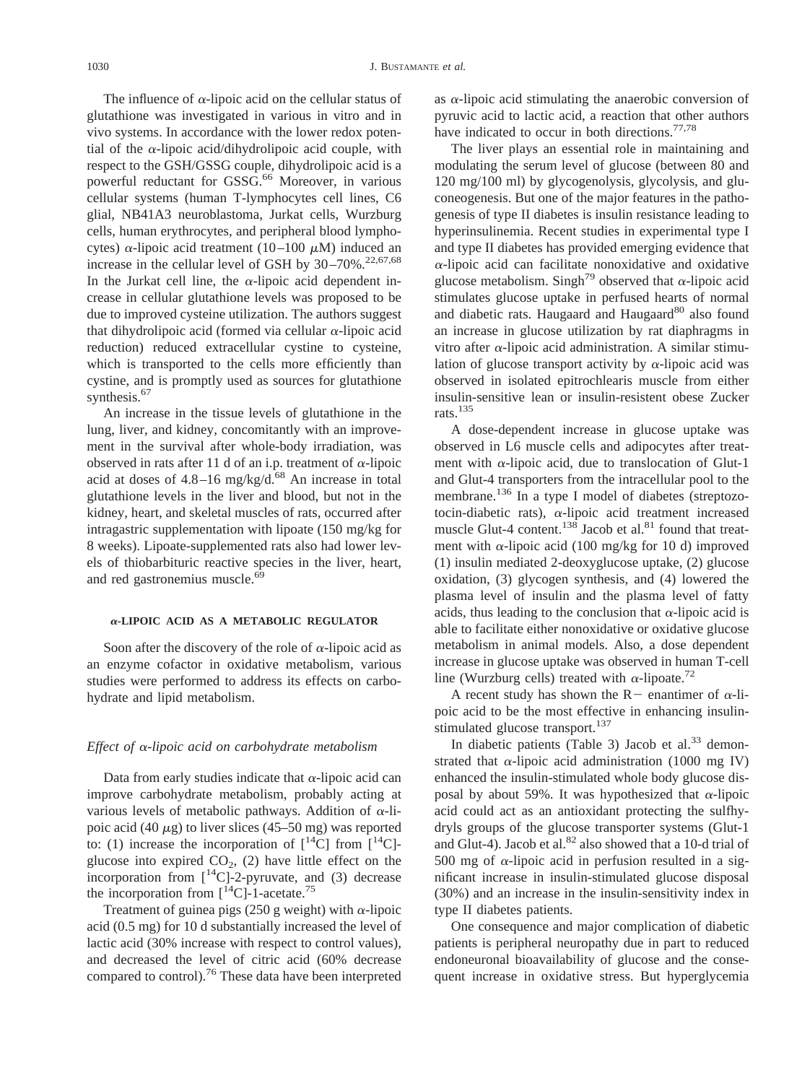The influence of  $\alpha$ -lipoic acid on the cellular status of glutathione was investigated in various in vitro and in vivo systems. In accordance with the lower redox potential of the  $\alpha$ -lipoic acid/dihydrolipoic acid couple, with respect to the GSH/GSSG couple, dihydrolipoic acid is a powerful reductant for GSSG.<sup>66</sup> Moreover, in various cellular systems (human T-lymphocytes cell lines, C6 glial, NB41A3 neuroblastoma, Jurkat cells, Wurzburg cells, human erythrocytes, and peripheral blood lymphocytes)  $\alpha$ -lipoic acid treatment (10–100  $\mu$ M) induced an increase in the cellular level of GSH by  $30-70\%$ .<sup>22,67,68</sup> In the Jurkat cell line, the  $\alpha$ -lipoic acid dependent increase in cellular glutathione levels was proposed to be due to improved cysteine utilization. The authors suggest that dihydrolipoic acid (formed via cellular  $\alpha$ -lipoic acid reduction) reduced extracellular cystine to cysteine, which is transported to the cells more efficiently than cystine, and is promptly used as sources for glutathione synthesis.<sup>67</sup>

An increase in the tissue levels of glutathione in the lung, liver, and kidney, concomitantly with an improvement in the survival after whole-body irradiation, was observed in rats after 11 d of an i.p. treatment of  $\alpha$ -lipoic acid at doses of  $4.8-16$  mg/kg/d.<sup>68</sup> An increase in total glutathione levels in the liver and blood, but not in the kidney, heart, and skeletal muscles of rats, occurred after intragastric supplementation with lipoate (150 mg/kg for 8 weeks). Lipoate-supplemented rats also had lower levels of thiobarbituric reactive species in the liver, heart, and red gastronemius muscle.<sup>69</sup>

#### <sup>a</sup>**-LIPOIC ACID AS A METABOLIC REGULATOR**

Soon after the discovery of the role of  $\alpha$ -lipoic acid as an enzyme cofactor in oxidative metabolism, various studies were performed to address its effects on carbohydrate and lipid metabolism.

#### *Effect of* <sup>a</sup>*-lipoic acid on carbohydrate metabolism*

Data from early studies indicate that  $\alpha$ -lipoic acid can improve carbohydrate metabolism, probably acting at various levels of metabolic pathways. Addition of  $\alpha$ -lipoic acid (40  $\mu$ g) to liver slices (45–50 mg) was reported to: (1) increase the incorporation of  $[{}^{14}C]$  from  $[{}^{14}C]$ glucose into expired  $CO<sub>2</sub>$ , (2) have little effect on the incorporation from  $\int_1^{14}C$ ]-2-pyruvate, and (3) decrease the incorporation from  $\int_1^{14}$ Cl-1-acetate.<sup>75</sup>

Treatment of guinea pigs (250 g weight) with  $\alpha$ -lipoic acid (0.5 mg) for 10 d substantially increased the level of lactic acid (30% increase with respect to control values), and decreased the level of citric acid (60% decrease compared to control).<sup>76</sup> These data have been interpreted as  $\alpha$ -lipoic acid stimulating the anaerobic conversion of pyruvic acid to lactic acid, a reaction that other authors have indicated to occur in both directions.<sup>77,78</sup>

The liver plays an essential role in maintaining and modulating the serum level of glucose (between 80 and 120 mg/100 ml) by glycogenolysis, glycolysis, and gluconeogenesis. But one of the major features in the pathogenesis of type II diabetes is insulin resistance leading to hyperinsulinemia. Recent studies in experimental type I and type II diabetes has provided emerging evidence that  $\alpha$ -lipoic acid can facilitate nonoxidative and oxidative glucose metabolism. Singh<sup>79</sup> observed that  $\alpha$ -lipoic acid stimulates glucose uptake in perfused hearts of normal and diabetic rats. Haugaard and Haugaard<sup>80</sup> also found an increase in glucose utilization by rat diaphragms in vitro after  $\alpha$ -lipoic acid administration. A similar stimulation of glucose transport activity by  $\alpha$ -lipoic acid was observed in isolated epitrochlearis muscle from either insulin-sensitive lean or insulin-resistent obese Zucker rats.135

A dose-dependent increase in glucose uptake was observed in L6 muscle cells and adipocytes after treatment with  $\alpha$ -lipoic acid, due to translocation of Glut-1 and Glut-4 transporters from the intracellular pool to the membrane.<sup>136</sup> In a type I model of diabetes (streptozotocin-diabetic rats),  $\alpha$ -lipoic acid treatment increased muscle Glut-4 content.<sup>138</sup> Jacob et al.<sup>81</sup> found that treatment with  $\alpha$ -lipoic acid (100 mg/kg for 10 d) improved (1) insulin mediated 2-deoxyglucose uptake, (2) glucose oxidation, (3) glycogen synthesis, and (4) lowered the plasma level of insulin and the plasma level of fatty acids, thus leading to the conclusion that  $\alpha$ -lipoic acid is able to facilitate either nonoxidative or oxidative glucose metabolism in animal models. Also, a dose dependent increase in glucose uptake was observed in human T-cell line (Wurzburg cells) treated with  $\alpha$ -lipoate.<sup>72</sup>

A recent study has shown the R- enantimer of  $\alpha$ -lipoic acid to be the most effective in enhancing insulinstimulated glucose transport.<sup>137</sup>

In diabetic patients (Table 3) Jacob et  $al.^{33}$  demonstrated that  $\alpha$ -lipoic acid administration (1000 mg IV) enhanced the insulin-stimulated whole body glucose disposal by about 59%. It was hypothesized that  $\alpha$ -lipoic acid could act as an antioxidant protecting the sulfhydryls groups of the glucose transporter systems (Glut-1 and Glut-4). Jacob et al. ${}^{82}$  also showed that a 10-d trial of 500 mg of  $\alpha$ -lipoic acid in perfusion resulted in a significant increase in insulin-stimulated glucose disposal (30%) and an increase in the insulin-sensitivity index in type II diabetes patients.

One consequence and major complication of diabetic patients is peripheral neuropathy due in part to reduced endoneuronal bioavailability of glucose and the consequent increase in oxidative stress. But hyperglycemia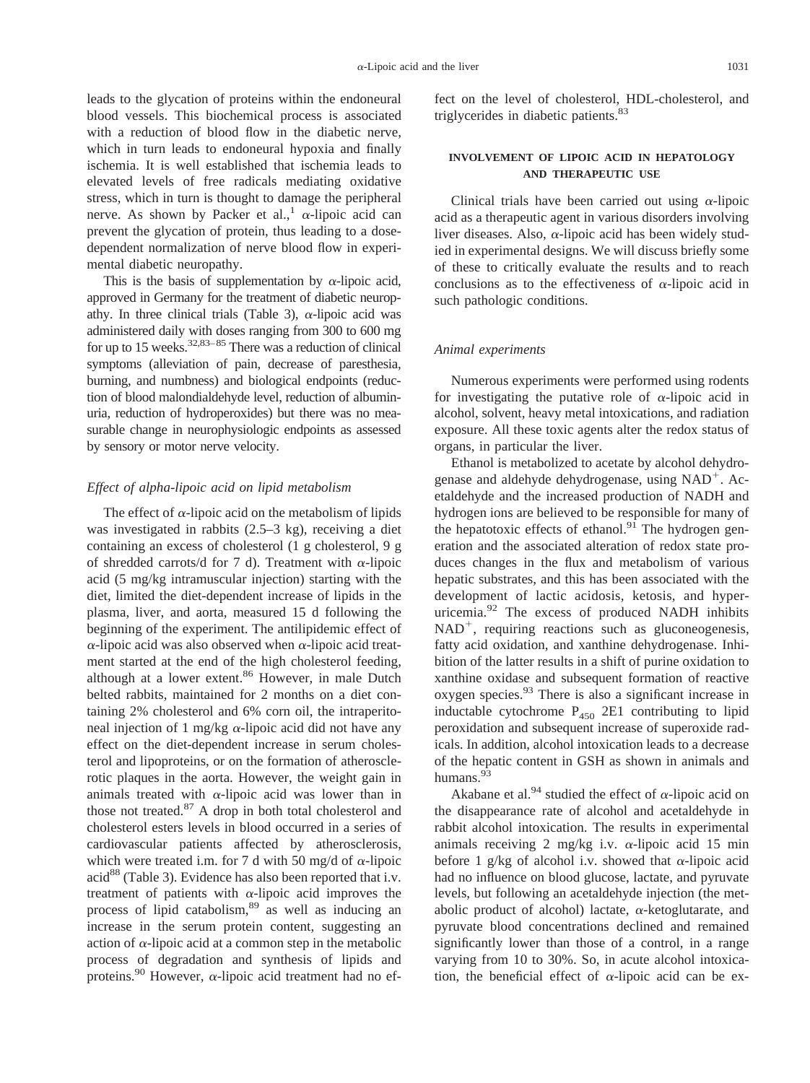leads to the glycation of proteins within the endoneural blood vessels. This biochemical process is associated with a reduction of blood flow in the diabetic nerve, which in turn leads to endoneural hypoxia and finally ischemia. It is well established that ischemia leads to elevated levels of free radicals mediating oxidative stress, which in turn is thought to damage the peripheral nerve. As shown by Packer et al.,<sup>1</sup>  $\alpha$ -lipoic acid can prevent the glycation of protein, thus leading to a dosedependent normalization of nerve blood flow in experimental diabetic neuropathy.

This is the basis of supplementation by  $\alpha$ -lipoic acid, approved in Germany for the treatment of diabetic neuropathy. In three clinical trials (Table 3),  $\alpha$ -lipoic acid was administered daily with doses ranging from 300 to 600 mg for up to 15 weeks.<sup>32,83–85</sup> There was a reduction of clinical symptoms (alleviation of pain, decrease of paresthesia, burning, and numbness) and biological endpoints (reduction of blood malondialdehyde level, reduction of albuminuria, reduction of hydroperoxides) but there was no measurable change in neurophysiologic endpoints as assessed by sensory or motor nerve velocity.

#### *Effect of alpha-lipoic acid on lipid metabolism*

The effect of  $\alpha$ -lipoic acid on the metabolism of lipids was investigated in rabbits (2.5–3 kg), receiving a diet containing an excess of cholesterol (1 g cholesterol, 9 g of shredded carrots/d for 7 d). Treatment with  $\alpha$ -lipoic acid (5 mg/kg intramuscular injection) starting with the diet, limited the diet-dependent increase of lipids in the plasma, liver, and aorta, measured 15 d following the beginning of the experiment. The antilipidemic effect of  $\alpha$ -lipoic acid was also observed when  $\alpha$ -lipoic acid treatment started at the end of the high cholesterol feeding, although at a lower extent.<sup>86</sup> However, in male Dutch belted rabbits, maintained for 2 months on a diet containing 2% cholesterol and 6% corn oil, the intraperitoneal injection of 1 mg/kg  $\alpha$ -lipoic acid did not have any effect on the diet-dependent increase in serum cholesterol and lipoproteins, or on the formation of atherosclerotic plaques in the aorta. However, the weight gain in animals treated with  $\alpha$ -lipoic acid was lower than in those not treated.<sup>87</sup> A drop in both total cholesterol and cholesterol esters levels in blood occurred in a series of cardiovascular patients affected by atherosclerosis, which were treated i.m. for 7 d with 50 mg/d of  $\alpha$ -lipoic acid $88$  (Table 3). Evidence has also been reported that i.v. treatment of patients with  $\alpha$ -lipoic acid improves the process of lipid catabolism, $89$  as well as inducing an increase in the serum protein content, suggesting an action of  $\alpha$ -lipoic acid at a common step in the metabolic process of degradation and synthesis of lipids and proteins.<sup>90</sup> However,  $\alpha$ -lipoic acid treatment had no effect on the level of cholesterol, HDL-cholesterol, and triglycerides in diabetic patients.<sup>83</sup>

# **INVOLVEMENT OF LIPOIC ACID IN HEPATOLOGY AND THERAPEUTIC USE**

Clinical trials have been carried out using  $\alpha$ -lipoic acid as a therapeutic agent in various disorders involving liver diseases. Also,  $\alpha$ -lipoic acid has been widely studied in experimental designs. We will discuss briefly some of these to critically evaluate the results and to reach conclusions as to the effectiveness of  $\alpha$ -lipoic acid in such pathologic conditions.

#### *Animal experiments*

Numerous experiments were performed using rodents for investigating the putative role of  $\alpha$ -lipoic acid in alcohol, solvent, heavy metal intoxications, and radiation exposure. All these toxic agents alter the redox status of organs, in particular the liver.

Ethanol is metabolized to acetate by alcohol dehydrogenase and aldehyde dehydrogenase, using  $NAD<sup>+</sup>$ . Acetaldehyde and the increased production of NADH and hydrogen ions are believed to be responsible for many of the hepatotoxic effects of ethanol. $91$  The hydrogen generation and the associated alteration of redox state produces changes in the flux and metabolism of various hepatic substrates, and this has been associated with the development of lactic acidosis, ketosis, and hyperuricemia.<sup>92</sup> The excess of produced NADH inhibits  $NAD<sup>+</sup>$ , requiring reactions such as gluconeogenesis, fatty acid oxidation, and xanthine dehydrogenase. Inhibition of the latter results in a shift of purine oxidation to xanthine oxidase and subsequent formation of reactive oxygen species.93 There is also a significant increase in inductable cytochrome  $P_{450}$  2E1 contributing to lipid peroxidation and subsequent increase of superoxide radicals. In addition, alcohol intoxication leads to a decrease of the hepatic content in GSH as shown in animals and humans.<sup>93</sup>

Akabane et al.<sup>94</sup> studied the effect of  $\alpha$ -lipoic acid on the disappearance rate of alcohol and acetaldehyde in rabbit alcohol intoxication. The results in experimental animals receiving 2 mg/kg i.v.  $\alpha$ -lipoic acid 15 min before 1 g/kg of alcohol i.v. showed that  $\alpha$ -lipoic acid had no influence on blood glucose, lactate, and pyruvate levels, but following an acetaldehyde injection (the metabolic product of alcohol) lactate,  $\alpha$ -ketoglutarate, and pyruvate blood concentrations declined and remained significantly lower than those of a control, in a range varying from 10 to 30%. So, in acute alcohol intoxication, the beneficial effect of  $\alpha$ -lipoic acid can be ex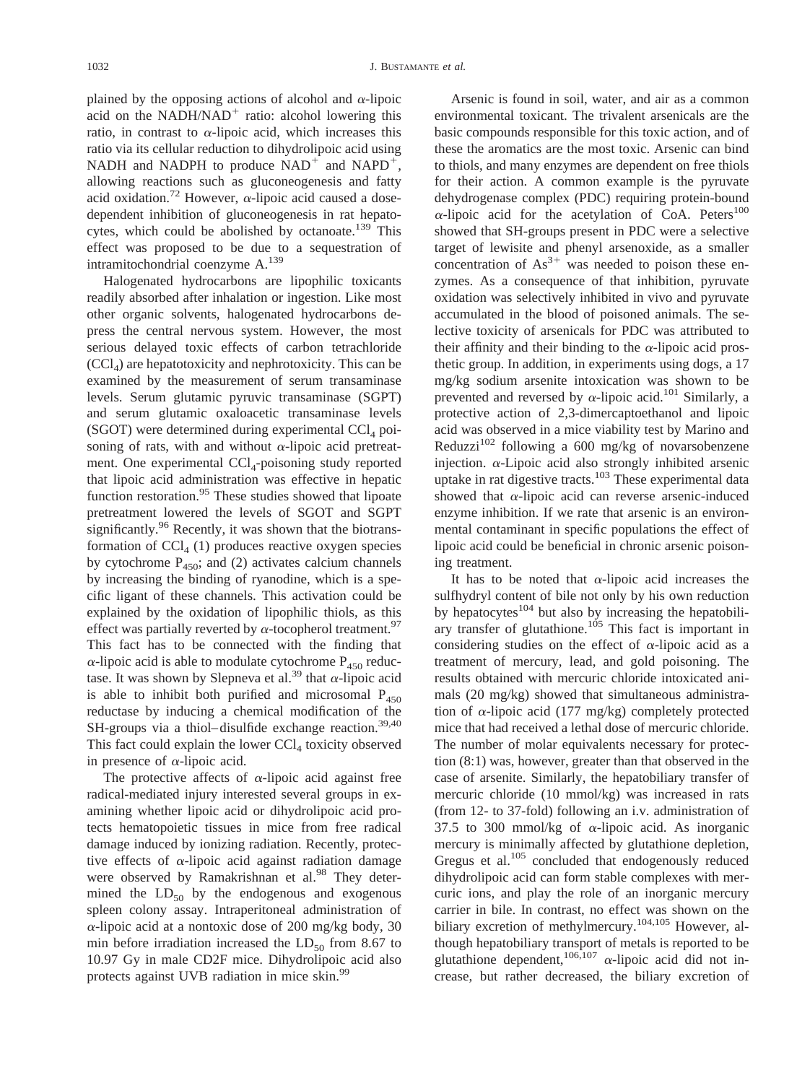plained by the opposing actions of alcohol and  $\alpha$ -lipoic acid on the NADH/NAD<sup>+</sup> ratio: alcohol lowering this ratio, in contrast to  $\alpha$ -lipoic acid, which increases this ratio via its cellular reduction to dihydrolipoic acid using NADH and NADPH to produce  $NAD^+$  and  $NAPD^+$ , allowing reactions such as gluconeogenesis and fatty acid oxidation.<sup>72</sup> However,  $\alpha$ -lipoic acid caused a dosedependent inhibition of gluconeogenesis in rat hepatocytes, which could be abolished by octanoate.<sup>139</sup> This effect was proposed to be due to a sequestration of intramitochondrial coenzyme A.139

Halogenated hydrocarbons are lipophilic toxicants readily absorbed after inhalation or ingestion. Like most other organic solvents, halogenated hydrocarbons depress the central nervous system. However, the most serious delayed toxic effects of carbon tetrachloride  $(CCl<sub>A</sub>)$  are hepatotoxicity and nephrotoxicity. This can be examined by the measurement of serum transaminase levels. Serum glutamic pyruvic transaminase (SGPT) and serum glutamic oxaloacetic transaminase levels (SGOT) were determined during experimental  $CCl<sub>4</sub>$  poisoning of rats, with and without  $\alpha$ -lipoic acid pretreatment. One experimental  $\text{CCl}_4$ -poisoning study reported that lipoic acid administration was effective in hepatic function restoration.<sup>95</sup> These studies showed that lipoate pretreatment lowered the levels of SGOT and SGPT significantly.<sup>96</sup> Recently, it was shown that the biotransformation of  $\text{CCl}_4$  (1) produces reactive oxygen species by cytochrome  $P_{450}$ ; and (2) activates calcium channels by increasing the binding of ryanodine, which is a specific ligant of these channels. This activation could be explained by the oxidation of lipophilic thiols, as this effect was partially reverted by  $\alpha$ -tocopherol treatment.<sup>97</sup> This fact has to be connected with the finding that  $\alpha$ -lipoic acid is able to modulate cytochrome  $P_{450}$  reductase. It was shown by Slepneva et al.<sup>39</sup> that  $\alpha$ -lipoic acid is able to inhibit both purified and microsomal  $P_{450}$ reductase by inducing a chemical modification of the SH-groups via a thiol–disulfide exchange reaction.<sup>39,40</sup> This fact could explain the lower  $CCl<sub>4</sub>$  toxicity observed in presence of  $\alpha$ -lipoic acid.

The protective affects of  $\alpha$ -lipoic acid against free radical-mediated injury interested several groups in examining whether lipoic acid or dihydrolipoic acid protects hematopoietic tissues in mice from free radical damage induced by ionizing radiation. Recently, protective effects of  $\alpha$ -lipoic acid against radiation damage were observed by Ramakrishnan et al.<sup>98</sup> They determined the  $LD_{50}$  by the endogenous and exogenous spleen colony assay. Intraperitoneal administration of  $\alpha$ -lipoic acid at a nontoxic dose of 200 mg/kg body, 30 min before irradiation increased the  $LD_{50}$  from 8.67 to 10.97 Gy in male CD2F mice. Dihydrolipoic acid also protects against UVB radiation in mice skin.99

Arsenic is found in soil, water, and air as a common environmental toxicant. The trivalent arsenicals are the basic compounds responsible for this toxic action, and of these the aromatics are the most toxic. Arsenic can bind to thiols, and many enzymes are dependent on free thiols for their action. A common example is the pyruvate dehydrogenase complex (PDC) requiring protein-bound  $\alpha$ -lipoic acid for the acetylation of CoA. Peters<sup>100</sup> showed that SH-groups present in PDC were a selective target of lewisite and phenyl arsenoxide, as a smaller concentration of  $As^{3+}$  was needed to poison these enzymes. As a consequence of that inhibition, pyruvate oxidation was selectively inhibited in vivo and pyruvate accumulated in the blood of poisoned animals. The selective toxicity of arsenicals for PDC was attributed to their affinity and their binding to the  $\alpha$ -lipoic acid prosthetic group. In addition, in experiments using dogs, a 17 mg/kg sodium arsenite intoxication was shown to be prevented and reversed by  $\alpha$ -lipoic acid.<sup>101</sup> Similarly, a protective action of 2,3-dimercaptoethanol and lipoic acid was observed in a mice viability test by Marino and Reduzzi<sup>102</sup> following a 600 mg/kg of novarsobenzene injection.  $\alpha$ -Lipoic acid also strongly inhibited arsenic uptake in rat digestive tracts.<sup>103</sup> These experimental data showed that  $\alpha$ -lipoic acid can reverse arsenic-induced enzyme inhibition. If we rate that arsenic is an environmental contaminant in specific populations the effect of lipoic acid could be beneficial in chronic arsenic poisoning treatment.

It has to be noted that  $\alpha$ -lipoic acid increases the sulfhydryl content of bile not only by his own reduction by hepatocytes $104$  but also by increasing the hepatobiliary transfer of glutathione.<sup>105</sup> This fact is important in considering studies on the effect of  $\alpha$ -lipoic acid as a treatment of mercury, lead, and gold poisoning. The results obtained with mercuric chloride intoxicated animals (20 mg/kg) showed that simultaneous administration of  $\alpha$ -lipoic acid (177 mg/kg) completely protected mice that had received a lethal dose of mercuric chloride. The number of molar equivalents necessary for protection (8:1) was, however, greater than that observed in the case of arsenite. Similarly, the hepatobiliary transfer of mercuric chloride (10 mmol/kg) was increased in rats (from 12- to 37-fold) following an i.v. administration of 37.5 to 300 mmol/kg of  $\alpha$ -lipoic acid. As inorganic mercury is minimally affected by glutathione depletion, Gregus et al.<sup>105</sup> concluded that endogenously reduced dihydrolipoic acid can form stable complexes with mercuric ions, and play the role of an inorganic mercury carrier in bile. In contrast, no effect was shown on the biliary excretion of methylmercury.<sup>104,105</sup> However, although hepatobiliary transport of metals is reported to be glutathione dependent,  $106,107$   $\alpha$ -lipoic acid did not increase, but rather decreased, the biliary excretion of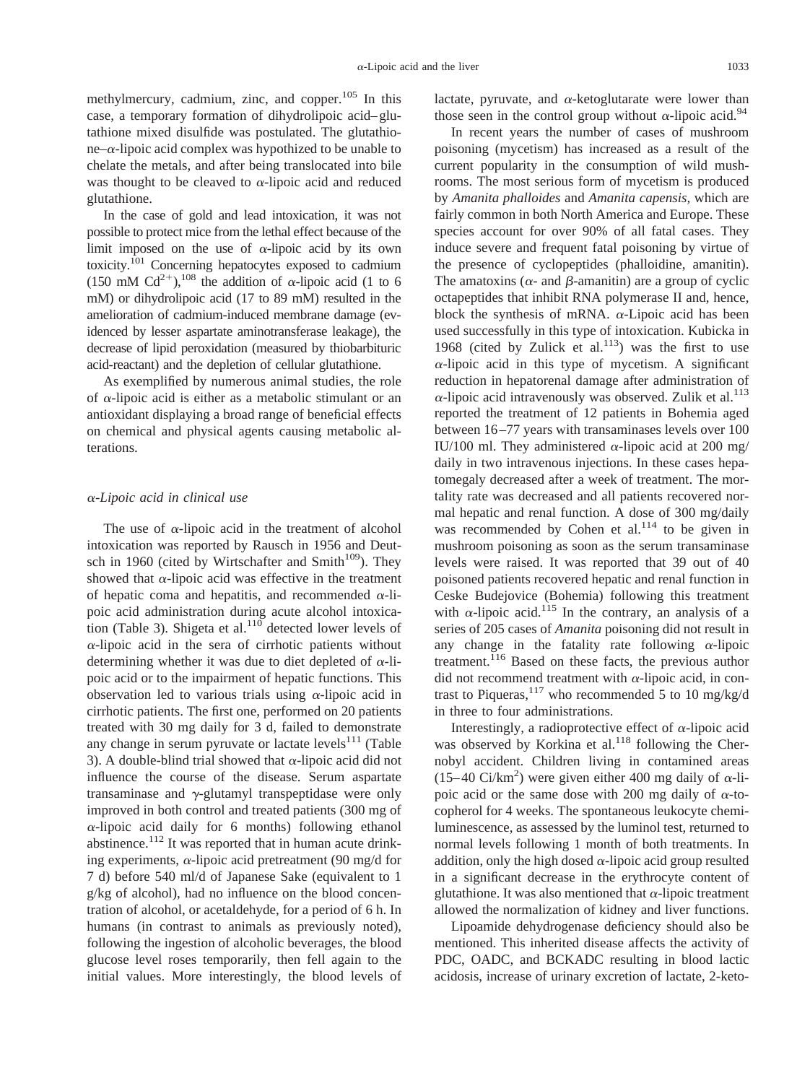methylmercury, cadmium, zinc, and copper.<sup>105</sup> In this case, a temporary formation of dihydrolipoic acid–glutathione mixed disulfide was postulated. The glutathio $ne-\alpha$ -lipoic acid complex was hypothized to be unable to chelate the metals, and after being translocated into bile was thought to be cleaved to  $\alpha$ -lipoic acid and reduced glutathione.

In the case of gold and lead intoxication, it was not possible to protect mice from the lethal effect because of the limit imposed on the use of  $\alpha$ -lipoic acid by its own toxicity.101 Concerning hepatocytes exposed to cadmium (150 mM Cd<sup>2+</sup>),<sup>108</sup> the addition of  $\alpha$ -lipoic acid (1 to 6) mM) or dihydrolipoic acid (17 to 89 mM) resulted in the amelioration of cadmium-induced membrane damage (evidenced by lesser aspartate aminotransferase leakage), the decrease of lipid peroxidation (measured by thiobarbituric acid-reactant) and the depletion of cellular glutathione.

As exemplified by numerous animal studies, the role of  $\alpha$ -lipoic acid is either as a metabolic stimulant or an antioxidant displaying a broad range of beneficial effects on chemical and physical agents causing metabolic alterations.

#### <sup>a</sup>*-Lipoic acid in clinical use*

The use of  $\alpha$ -lipoic acid in the treatment of alcohol intoxication was reported by Rausch in 1956 and Deutsch in 1960 (cited by Wirtschafter and Smith $109$ ). They showed that  $\alpha$ -lipoic acid was effective in the treatment of hepatic coma and hepatitis, and recommended  $\alpha$ -lipoic acid administration during acute alcohol intoxication (Table 3). Shigeta et al. $110$  detected lower levels of  $\alpha$ -lipoic acid in the sera of cirrhotic patients without determining whether it was due to diet depleted of  $\alpha$ -lipoic acid or to the impairment of hepatic functions. This observation led to various trials using  $\alpha$ -lipoic acid in cirrhotic patients. The first one, performed on 20 patients treated with 30 mg daily for 3 d, failed to demonstrate any change in serum pyruvate or lactate levels $111$  (Table 3). A double-blind trial showed that  $\alpha$ -lipoic acid did not influence the course of the disease. Serum aspartate transaminase and  $\gamma$ -glutamyl transpeptidase were only improved in both control and treated patients (300 mg of  $\alpha$ -lipoic acid daily for 6 months) following ethanol abstinence.<sup>112</sup> It was reported that in human acute drinking experiments,  $\alpha$ -lipoic acid pretreatment (90 mg/d for 7 d) before 540 ml/d of Japanese Sake (equivalent to 1 g/kg of alcohol), had no influence on the blood concentration of alcohol, or acetaldehyde, for a period of 6 h. In humans (in contrast to animals as previously noted), following the ingestion of alcoholic beverages, the blood glucose level roses temporarily, then fell again to the initial values. More interestingly, the blood levels of lactate, pyruvate, and  $\alpha$ -ketoglutarate were lower than those seen in the control group without  $\alpha$ -lipoic acid.<sup>94</sup>

In recent years the number of cases of mushroom poisoning (mycetism) has increased as a result of the current popularity in the consumption of wild mushrooms. The most serious form of mycetism is produced by *Amanita phalloides* and *Amanita capensis,* which are fairly common in both North America and Europe. These species account for over 90% of all fatal cases. They induce severe and frequent fatal poisoning by virtue of the presence of cyclopeptides (phalloidine, amanitin). The amatoxins ( $\alpha$ - and  $\beta$ -amanitin) are a group of cyclic octapeptides that inhibit RNA polymerase II and, hence, block the synthesis of mRNA.  $\alpha$ -Lipoic acid has been used successfully in this type of intoxication. Kubicka in 1968 (cited by Zulick et al. $113$ ) was the first to use  $\alpha$ -lipoic acid in this type of mycetism. A significant reduction in hepatorenal damage after administration of  $\alpha$ -lipoic acid intravenously was observed. Zulik et al.<sup>113</sup> reported the treatment of 12 patients in Bohemia aged between 16–77 years with transaminases levels over 100 IU/100 ml. They administered  $\alpha$ -lipoic acid at 200 mg/ daily in two intravenous injections. In these cases hepatomegaly decreased after a week of treatment. The mortality rate was decreased and all patients recovered normal hepatic and renal function. A dose of 300 mg/daily was recommended by Cohen et al. $114$  to be given in mushroom poisoning as soon as the serum transaminase levels were raised. It was reported that 39 out of 40 poisoned patients recovered hepatic and renal function in Ceske Budejovice (Bohemia) following this treatment with  $\alpha$ -lipoic acid.<sup>115</sup> In the contrary, an analysis of a series of 205 cases of *Amanita* poisoning did not result in any change in the fatality rate following  $\alpha$ -lipoic treatment.116 Based on these facts, the previous author did not recommend treatment with  $\alpha$ -lipoic acid, in contrast to Piqueras,  $117$  who recommended 5 to 10 mg/kg/d in three to four administrations.

Interestingly, a radioprotective effect of  $\alpha$ -lipoic acid was observed by Korkina et al.<sup>118</sup> following the Chernobyl accident. Children living in contamined areas (15–40 Ci/km<sup>2</sup>) were given either 400 mg daily of  $\alpha$ -lipoic acid or the same dose with 200 mg daily of  $\alpha$ -tocopherol for 4 weeks. The spontaneous leukocyte chemiluminescence, as assessed by the luminol test, returned to normal levels following 1 month of both treatments. In addition, only the high dosed  $\alpha$ -lipoic acid group resulted in a significant decrease in the erythrocyte content of glutathione. It was also mentioned that  $\alpha$ -lipoic treatment allowed the normalization of kidney and liver functions.

Lipoamide dehydrogenase deficiency should also be mentioned. This inherited disease affects the activity of PDC, OADC, and BCKADC resulting in blood lactic acidosis, increase of urinary excretion of lactate, 2-keto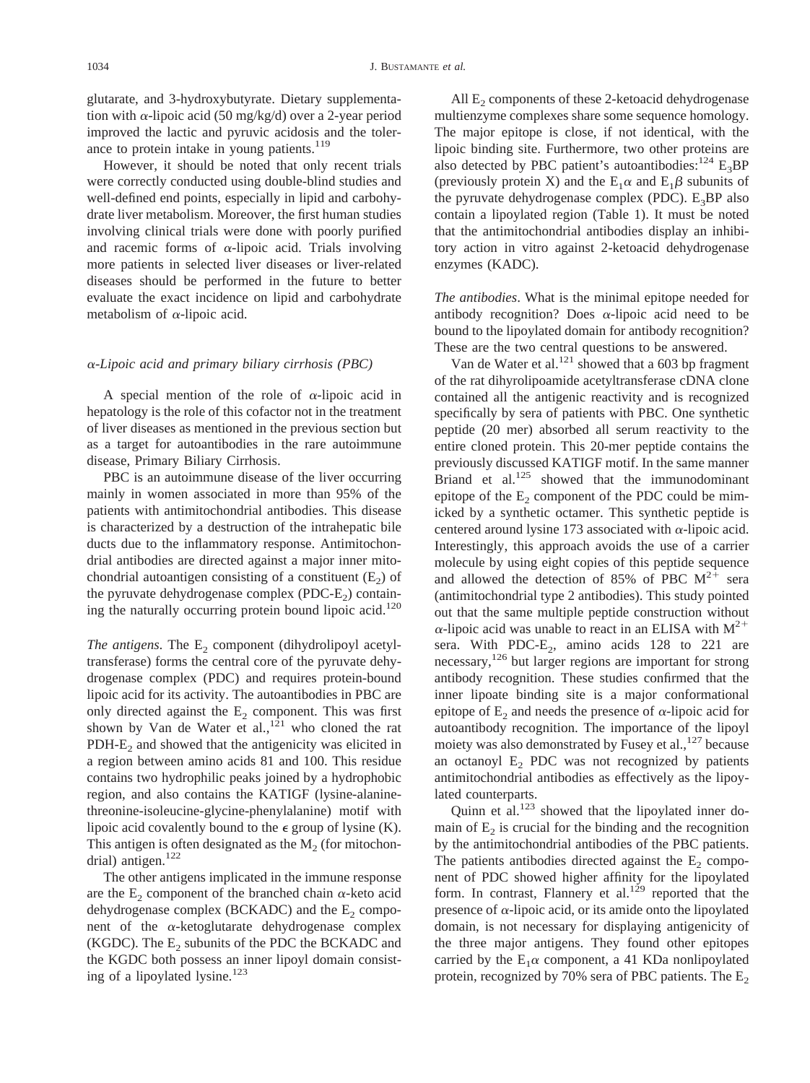glutarate, and 3-hydroxybutyrate. Dietary supplementation with  $\alpha$ -lipoic acid (50 mg/kg/d) over a 2-year period improved the lactic and pyruvic acidosis and the tolerance to protein intake in young patients.<sup>119</sup>

However, it should be noted that only recent trials were correctly conducted using double-blind studies and well-defined end points, especially in lipid and carbohydrate liver metabolism. Moreover, the first human studies involving clinical trials were done with poorly purified and racemic forms of  $\alpha$ -lipoic acid. Trials involving more patients in selected liver diseases or liver-related diseases should be performed in the future to better evaluate the exact incidence on lipid and carbohydrate metabolism of  $\alpha$ -lipoic acid.

#### <sup>a</sup>*-Lipoic acid and primary biliary cirrhosis (PBC)*

A special mention of the role of  $\alpha$ -lipoic acid in hepatology is the role of this cofactor not in the treatment of liver diseases as mentioned in the previous section but as a target for autoantibodies in the rare autoimmune disease, Primary Biliary Cirrhosis.

PBC is an autoimmune disease of the liver occurring mainly in women associated in more than 95% of the patients with antimitochondrial antibodies. This disease is characterized by a destruction of the intrahepatic bile ducts due to the inflammatory response. Antimitochondrial antibodies are directed against a major inner mitochondrial autoantigen consisting of a constituent  $(E_2)$  of the pyruvate dehydrogenase complex (PDC- $E<sub>2</sub>$ ) containing the naturally occurring protein bound lipoic acid.<sup>120</sup>

*The antigens*. The  $E_2$  component (dihydrolipoyl acetyltransferase) forms the central core of the pyruvate dehydrogenase complex (PDC) and requires protein-bound lipoic acid for its activity. The autoantibodies in PBC are only directed against the  $E<sub>2</sub>$  component. This was first shown by Van de Water et al.,  $121$  who cloned the rat  $PDH-E<sub>2</sub>$  and showed that the antigenicity was elicited in a region between amino acids 81 and 100. This residue contains two hydrophilic peaks joined by a hydrophobic region, and also contains the KATIGF (lysine-alaninethreonine-isoleucine-glycine-phenylalanine) motif with lipoic acid covalently bound to the  $\epsilon$  group of lysine (K). This antigen is often designated as the  $M<sub>2</sub>$  (for mitochondrial) antigen.<sup>122</sup>

The other antigens implicated in the immune response are the  $E<sub>2</sub>$  component of the branched chain  $\alpha$ -keto acid dehydrogenase complex (BCKADC) and the  $E<sub>2</sub>$  component of the  $\alpha$ -ketoglutarate dehydrogenase complex (KGDC). The  $E<sub>2</sub>$  subunits of the PDC the BCKADC and the KGDC both possess an inner lipoyl domain consisting of a lipoylated lysine. $123$ 

All  $E<sub>2</sub>$  components of these 2-ketoacid dehydrogenase multienzyme complexes share some sequence homology. The major epitope is close, if not identical, with the lipoic binding site. Furthermore, two other proteins are also detected by PBC patient's autoantibodies:  $^{124}$  E<sub>3</sub>BP (previously protein X) and the  $E_1\alpha$  and  $E_1\beta$  subunits of the pyruvate dehydrogenase complex (PDC).  $E_3BP$  also contain a lipoylated region (Table 1). It must be noted that the antimitochondrial antibodies display an inhibitory action in vitro against 2-ketoacid dehydrogenase enzymes (KADC).

*The antibodies*. What is the minimal epitope needed for antibody recognition? Does  $\alpha$ -lipoic acid need to be bound to the lipoylated domain for antibody recognition? These are the two central questions to be answered.

Van de Water et al.<sup>121</sup> showed that a 603 bp fragment of the rat dihyrolipoamide acetyltransferase cDNA clone contained all the antigenic reactivity and is recognized specifically by sera of patients with PBC. One synthetic peptide (20 mer) absorbed all serum reactivity to the entire cloned protein. This 20-mer peptide contains the previously discussed KATIGF motif. In the same manner Briand et al. $125$  showed that the immunodominant epitope of the  $E<sub>2</sub>$  component of the PDC could be mimicked by a synthetic octamer. This synthetic peptide is centered around lysine 173 associated with  $\alpha$ -lipoic acid. Interestingly, this approach avoids the use of a carrier molecule by using eight copies of this peptide sequence and allowed the detection of 85% of PBC  $M^{2+}$  sera (antimitochondrial type 2 antibodies). This study pointed out that the same multiple peptide construction without  $\alpha$ -lipoic acid was unable to react in an ELISA with  $M^{2+}$ sera. With PDC- $E_2$ , amino acids 128 to 221 are necessary,<sup>126</sup> but larger regions are important for strong antibody recognition. These studies confirmed that the inner lipoate binding site is a major conformational epitope of  $E_2$  and needs the presence of  $\alpha$ -lipoic acid for autoantibody recognition. The importance of the lipoyl moiety was also demonstrated by Fusey et al., $^{127}$  because an octanoyl  $E<sub>2</sub>$  PDC was not recognized by patients antimitochondrial antibodies as effectively as the lipoylated counterparts.

Quinn et al. $^{123}$  showed that the lipoylated inner domain of  $E<sub>2</sub>$  is crucial for the binding and the recognition by the antimitochondrial antibodies of the PBC patients. The patients antibodies directed against the  $E_2$  component of PDC showed higher affinity for the lipoylated form. In contrast, Flannery et al.<sup>129</sup> reported that the presence of  $\alpha$ -lipoic acid, or its amide onto the lipoylated domain, is not necessary for displaying antigenicity of the three major antigens. They found other epitopes carried by the  $E_1\alpha$  component, a 41 KDa nonlipoylated protein, recognized by 70% sera of PBC patients. The  $E_2$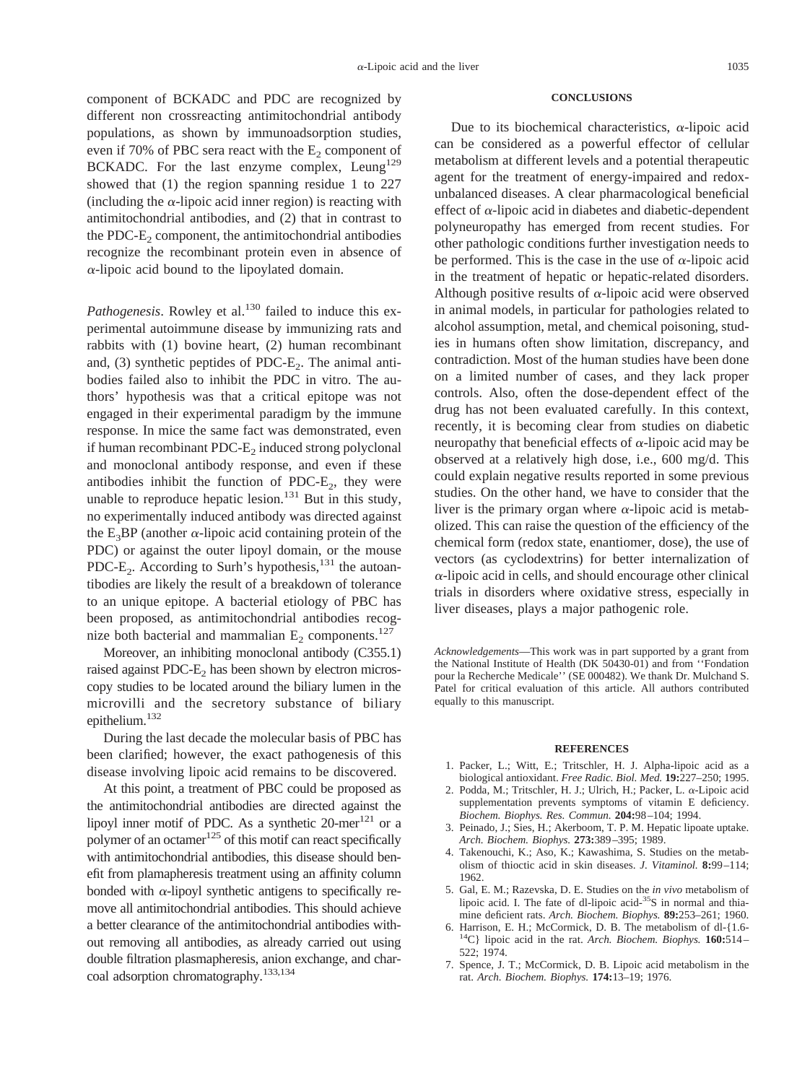component of BCKADC and PDC are recognized by different non crossreacting antimitochondrial antibody populations, as shown by immunoadsorption studies, even if 70% of PBC sera react with the  $E_2$  component of BCKADC. For the last enzyme complex, Leung<sup>129</sup> showed that (1) the region spanning residue 1 to 227 (including the  $\alpha$ -lipoic acid inner region) is reacting with antimitochondrial antibodies, and (2) that in contrast to the PDC- $E<sub>2</sub>$  component, the antimitochondrial antibodies recognize the recombinant protein even in absence of  $\alpha$ -lipoic acid bound to the lipoylated domain.

*Pathogenesis*. Rowley et al.<sup>130</sup> failed to induce this experimental autoimmune disease by immunizing rats and rabbits with (1) bovine heart, (2) human recombinant and,  $(3)$  synthetic peptides of PDC-E<sub>2</sub>. The animal antibodies failed also to inhibit the PDC in vitro. The authors' hypothesis was that a critical epitope was not engaged in their experimental paradigm by the immune response. In mice the same fact was demonstrated, even if human recombinant PDC- $E<sub>2</sub>$  induced strong polyclonal and monoclonal antibody response, and even if these antibodies inhibit the function of PDC- $E<sub>2</sub>$ , they were unable to reproduce hepatic lesion.<sup>131</sup> But in this study, no experimentally induced antibody was directed against the  $E_3BP$  (another  $\alpha$ -lipoic acid containing protein of the PDC) or against the outer lipoyl domain, or the mouse PDC-E<sub>2</sub>. According to Surh's hypothesis, $131$  the autoantibodies are likely the result of a breakdown of tolerance to an unique epitope. A bacterial etiology of PBC has been proposed, as antimitochondrial antibodies recognize both bacterial and mammalian  $E_2$  components.<sup>127</sup>

Moreover, an inhibiting monoclonal antibody (C355.1) raised against PDC- $E_2$  has been shown by electron microscopy studies to be located around the biliary lumen in the microvilli and the secretory substance of biliary epithelium.132

During the last decade the molecular basis of PBC has been clarified; however, the exact pathogenesis of this disease involving lipoic acid remains to be discovered.

At this point, a treatment of PBC could be proposed as the antimitochondrial antibodies are directed against the lipoyl inner motif of PDC. As a synthetic  $20$ -mer<sup>121</sup> or a polymer of an octamer<sup>125</sup> of this motif can react specifically with antimitochondrial antibodies, this disease should benefit from plamapheresis treatment using an affinity column bonded with  $\alpha$ -lipoyl synthetic antigens to specifically remove all antimitochondrial antibodies. This should achieve a better clearance of the antimitochondrial antibodies without removing all antibodies, as already carried out using double filtration plasmapheresis, anion exchange, and charcoal adsorption chromatography.133,134

#### **CONCLUSIONS**

Due to its biochemical characteristics,  $\alpha$ -lipoic acid can be considered as a powerful effector of cellular metabolism at different levels and a potential therapeutic agent for the treatment of energy-impaired and redoxunbalanced diseases. A clear pharmacological beneficial effect of  $\alpha$ -lipoic acid in diabetes and diabetic-dependent polyneuropathy has emerged from recent studies. For other pathologic conditions further investigation needs to be performed. This is the case in the use of  $\alpha$ -lipoic acid in the treatment of hepatic or hepatic-related disorders. Although positive results of  $\alpha$ -lipoic acid were observed in animal models, in particular for pathologies related to alcohol assumption, metal, and chemical poisoning, studies in humans often show limitation, discrepancy, and contradiction. Most of the human studies have been done on a limited number of cases, and they lack proper controls. Also, often the dose-dependent effect of the drug has not been evaluated carefully. In this context, recently, it is becoming clear from studies on diabetic neuropathy that beneficial effects of  $\alpha$ -lipoic acid may be observed at a relatively high dose, i.e., 600 mg/d. This could explain negative results reported in some previous studies. On the other hand, we have to consider that the liver is the primary organ where  $\alpha$ -lipoic acid is metabolized. This can raise the question of the efficiency of the chemical form (redox state, enantiomer, dose), the use of vectors (as cyclodextrins) for better internalization of  $\alpha$ -lipoic acid in cells, and should encourage other clinical trials in disorders where oxidative stress, especially in liver diseases, plays a major pathogenic role.

*Acknowledgements*—This work was in part supported by a grant from the National Institute of Health (DK 50430-01) and from ''Fondation pour la Recherche Medicale'' (SE 000482). We thank Dr. Mulchand S. Patel for critical evaluation of this article. All authors contributed equally to this manuscript.

#### **REFERENCES**

- 1. Packer, L.; Witt, E.; Tritschler, H. J. Alpha-lipoic acid as a biological antioxidant. *Free Radic. Biol. Med.* **19:**227–250; 1995.
- 2. Podda, M.; Tritschler, H. J.; Ulrich, H.; Packer, L. <sup>a</sup>-Lipoic acid supplementation prevents symptoms of vitamin E deficiency. *Biochem. Biophys. Res. Commun.* **204:**98–104; 1994.
- 3. Peinado, J.; Sies, H.; Akerboom, T. P. M. Hepatic lipoate uptake. *Arch. Biochem. Biophys.* **273:**389–395; 1989.
- 4. Takenouchi, K.; Aso, K.; Kawashima, S. Studies on the metabolism of thioctic acid in skin diseases. *J. Vitaminol.* **8:**99–114; 1962.
- 5. Gal, E. M.; Razevska, D. E. Studies on the *in vivo* metabolism of lipoic acid. I. The fate of dl-lipoic acid-35S in normal and thia-
- mine deficient rats. *Arch. Biochem. Biophys.* **89:**253–261; 1960. <sup>14</sup>C} lipoic acid in the rat. *Arch. Biochem. Biophys.* **160:**514– 522; 1974.
- 7. Spence, J. T.; McCormick, D. B. Lipoic acid metabolism in the rat. *Arch. Biochem. Biophys.* **174:**13–19; 1976.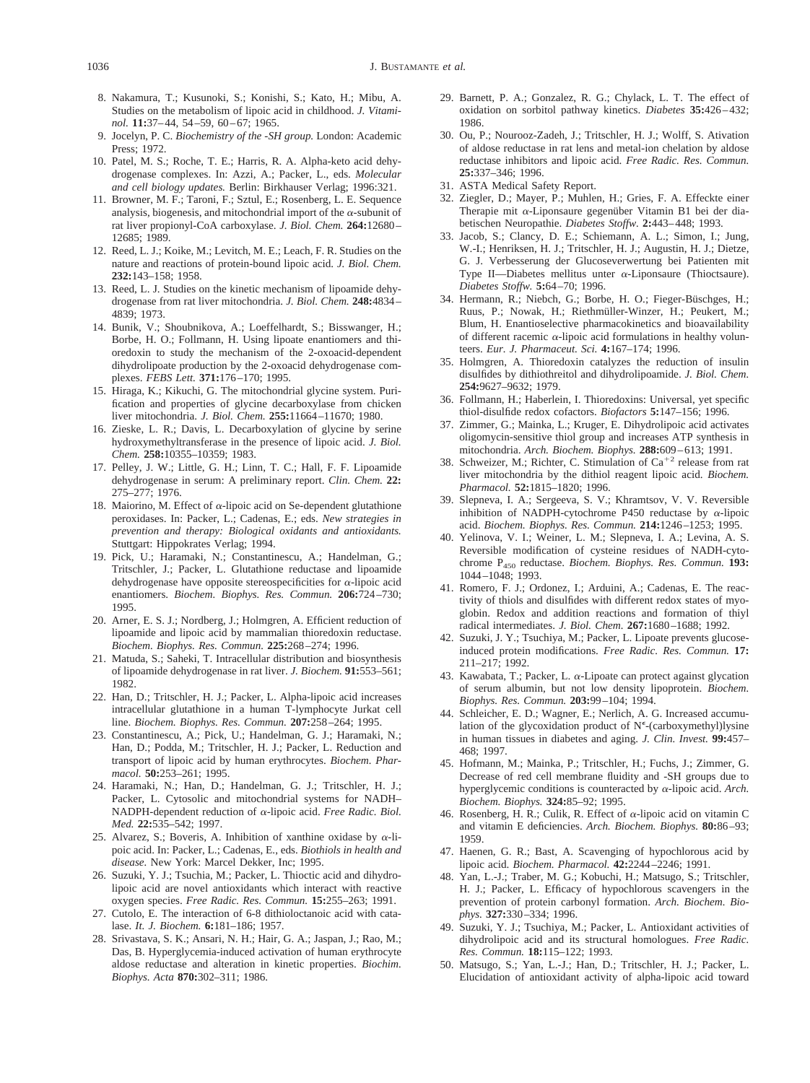- 1036 J. BUSTAMANTE *et al.*
	- 8. Nakamura, T.; Kusunoki, S.; Konishi, S.; Kato, H.; Mibu, A. Studies on the metabolism of lipoic acid in childhood. *J. Vitaminol.* **11:**37–44, 54–59, 60–67; 1965.
	- 9. Jocelyn, P. C. *Biochemistry of the -SH group.* London: Academic Press; 1972.
- 10. Patel, M. S.; Roche, T. E.; Harris, R. A. Alpha-keto acid dehydrogenase complexes. In: Azzi, A.; Packer, L., eds. *Molecular and cell biology updates.* Berlin: Birkhauser Verlag; 1996:321.
- 11. Browner, M. F.; Taroni, F.; Sztul, E.; Rosenberg, L. E. Sequence analysis, biogenesis, and mitochondrial import of the  $\alpha$ -subunit of rat liver propionyl-CoA carboxylase. *J. Biol. Chem.* **264:**12680– 12685; 1989.
- 12. Reed, L. J.; Koike, M.; Levitch, M. E.; Leach, F. R. Studies on the nature and reactions of protein-bound lipoic acid. *J. Biol. Chem.* **232:**143–158; 1958.
- 13. Reed, L. J. Studies on the kinetic mechanism of lipoamide dehydrogenase from rat liver mitochondria. *J. Biol. Chem.* **248:**4834– 4839; 1973.
- 14. Bunik, V.; Shoubnikova, A.; Loeffelhardt, S.; Bisswanger, H.; Borbe, H. O.; Follmann, H. Using lipoate enantiomers and thioredoxin to study the mechanism of the 2-oxoacid-dependent dihydrolipoate production by the 2-oxoacid dehydrogenase complexes. *FEBS Lett.* **371:**176–170; 1995.
- 15. Hiraga, K.; Kikuchi, G. The mitochondrial glycine system. Purification and properties of glycine decarboxylase from chicken liver mitochondria. *J. Biol. Chem.* **255:**11664–11670; 1980.
- 16. Zieske, L. R.; Davis, L. Decarboxylation of glycine by serine hydroxymethyltransferase in the presence of lipoic acid. *J. Biol. Chem.* **258:**10355–10359; 1983.
- 17. Pelley, J. W.; Little, G. H.; Linn, T. C.; Hall, F. F. Lipoamide dehydrogenase in serum: A preliminary report. *Clin. Chem.* **22:** 275–277; 1976.
- 18. Maiorino, M. Effect of  $\alpha$ -lipoic acid on Se-dependent glutathione peroxidases. In: Packer, L.; Cadenas, E.; eds. *New strategies in prevention and therapy: Biological oxidants and antioxidants.* Stuttgart: Hippokrates Verlag; 1994.
- 19. Pick, U.; Haramaki, N.; Constantinescu, A.; Handelman, G.; Tritschler, J.; Packer, L. Glutathione reductase and lipoamide dehydrogenase have opposite stereospecificities for  $\alpha$ -lipoic acid enantiomers. *Biochem. Biophys. Res. Commun.* **206:**724–730; 1995.
- 20. Arner, E. S. J.; Nordberg, J.; Holmgren, A. Efficient reduction of lipoamide and lipoic acid by mammalian thioredoxin reductase. *Biochem. Biophys. Res. Commun.* **225:**268–274; 1996.
- 21. Matuda, S.; Saheki, T. Intracellular distribution and biosynthesis of lipoamide dehydrogenase in rat liver. *J. Biochem.* **91:**553–561; 1982.
- 22. Han, D.; Tritschler, H. J.; Packer, L. Alpha-lipoic acid increases intracellular glutathione in a human T-lymphocyte Jurkat cell line. *Biochem. Biophys. Res. Commun.* **207:**258–264; 1995.
- 23. Constantinescu, A.; Pick, U.; Handelman, G. J.; Haramaki, N.; Han, D.; Podda, M.; Tritschler, H. J.; Packer, L. Reduction and transport of lipoic acid by human erythrocytes. *Biochem. Pharmacol.* **50:**253–261; 1995.
- 24. Haramaki, N.; Han, D.; Handelman, G. J.; Tritschler, H. J.; Packer, L. Cytosolic and mitochondrial systems for NADH– NADPH-dependent reduction of <sup>a</sup>-lipoic acid. *Free Radic. Biol. Med.* **22:**535–542; 1997.
- 25. Alvarez, S.; Boveris, A. Inhibition of xanthine oxidase by  $\alpha$ -lipoic acid. In: Packer, L.; Cadenas, E., eds. *Biothiols in health and disease.* New York: Marcel Dekker, Inc; 1995.
- 26. Suzuki, Y. J.; Tsuchia, M.; Packer, L. Thioctic acid and dihydrolipoic acid are novel antioxidants which interact with reactive oxygen species. *Free Radic. Res. Commun.* **15:**255–263; 1991.
- 27. Cutolo, E. The interaction of 6-8 dithioloctanoic acid with catalase. *It. J. Biochem.* **6:**181–186; 1957.
- 28. Srivastava, S. K.; Ansari, N. H.; Hair, G. A.; Jaspan, J.; Rao, M.; Das, B. Hyperglycemia-induced activation of human erythrocyte aldose reductase and alteration in kinetic properties. *Biochim. Biophys. Acta* **870:**302–311; 1986.
- 29. Barnett, P. A.; Gonzalez, R. G.; Chylack, L. T. The effect of oxidation on sorbitol pathway kinetics. *Diabetes* **35:**426–432; 1986.
- 30. Ou, P.; Nourooz-Zadeh, J.; Tritschler, H. J.; Wolff, S. Ativation of aldose reductase in rat lens and metal-ion chelation by aldose reductase inhibitors and lipoic acid. *Free Radic. Res. Commun.* **25:**337–346; 1996.
- 31. ASTA Medical Safety Report.
- 32. Ziegler, D.; Mayer, P.; Muhlen, H.; Gries, F. A. Effeckte einer Therapie mit  $\alpha$ -Liponsaure gegenüber Vitamin B1 bei der diabetischen Neuropathie. *Diabetes Stoffw.* **2:**443–448; 1993.
- 33. Jacob, S.; Clancy, D. E.; Schiemann, A. L.; Simon, I.; Jung, W.-I.; Henriksen, H. J.; Tritschler, H. J.; Augustin, H. J.; Dietze, G. J. Verbesserung der Glucoseverwertung bei Patienten mit Type II—Diabetes mellitus unter  $\alpha$ -Liponsaure (Thioctsaure). *Diabetes Stoffw.* **5:**64–70; 1996.
- 34. Hermann, R.; Niebch, G.; Borbe, H. O.; Fieger-Büschges, H.; Ruus, P.; Nowak, H.; Riethmüller-Winzer, H.; Peukert, M.; Blum, H. Enantioselective pharmacokinetics and bioavailability of different racemic  $\alpha$ -lipoic acid formulations in healthy volunteers. *Eur. J. Pharmaceut. Sci.* **4:**167–174; 1996.
- 35. Holmgren, A. Thioredoxin catalyzes the reduction of insulin disulfides by dithiothreitol and dihydrolipoamide. *J. Biol. Chem.* **254:**9627–9632; 1979.
- 36. Follmann, H.; Haberlein, I. Thioredoxins: Universal, yet specific thiol-disulfide redox cofactors. *Biofactors* **5:**147–156; 1996.
- 37. Zimmer, G.; Mainka, L.; Kruger, E. Dihydrolipoic acid activates oligomycin-sensitive thiol group and increases ATP synthesis in mitochondria. *Arch. Biochem. Biophys.* **288:**609–613; 1991.
- 38. Schweizer, M.; Richter, C. Stimulation of  $Ca^{+2}$  release from rat liver mitochondria by the dithiol reagent lipoic acid. *Biochem. Pharmacol.* **52:**1815–1820; 1996.
- 39. Slepneva, I. A.; Sergeeva, S. V.; Khramtsov, V. V. Reversible inhibition of NADPH-cytochrome P450 reductase by  $\alpha$ -lipoic acid. *Biochem. Biophys. Res. Commun.* **214:**1246–1253; 1995.
- 40. Yelinova, V. I.; Weiner, L. M.; Slepneva, I. A.; Levina, A. S. Reversible modification of cysteine residues of NADH-cytochrome P450 reductase. *Biochem. Biophys. Res. Commun.* **193:** 1044–1048; 1993.
- 41. Romero, F. J.; Ordonez, I.; Arduini, A.; Cadenas, E. The reactivity of thiols and disulfides with different redox states of myoglobin. Redox and addition reactions and formation of thiyl radical intermediates. *J. Biol. Chem.* **267:**1680–1688; 1992.
- 42. Suzuki, J. Y.; Tsuchiya, M.; Packer, L. Lipoate prevents glucoseinduced protein modifications. *Free Radic. Res. Commun.* **17:** 211–217; 1992.
- 43. Kawabata, T.; Packer, L.  $\alpha$ -Lipoate can protect against glycation of serum albumin, but not low density lipoprotein. *Biochem. Biophys. Res. Commun.* **203:**99–104; 1994.
- 44. Schleicher, E. D.; Wagner, E.; Nerlich, A. G. Increased accumulation of the glycoxidation product of  $N^{\epsilon}$ -(carboxymethyl)lysine in human tissues in diabetes and aging. *J. Clin. Invest.* **99:**457– 468; 1997.
- 45. Hofmann, M.; Mainka, P.; Tritschler, H.; Fuchs, J.; Zimmer, G. Decrease of red cell membrane fluidity and -SH groups due to hyperglycemic conditions is counteracted by <sup>a</sup>-lipoic acid. *Arch. Biochem. Biophys.* **324:**85–92; 1995.
- 46. Rosenberg, H. R.; Culik, R. Effect of  $\alpha$ -lipoic acid on vitamin C and vitamin E deficiencies. *Arch. Biochem. Biophys.* **80:**86–93; 1959.
- 47. Haenen, G. R.; Bast, A. Scavenging of hypochlorous acid by lipoic acid. *Biochem. Pharmacol.* **42:**2244–2246; 1991.
- 48. Yan, L.-J.; Traber, M. G.; Kobuchi, H.; Matsugo, S.; Tritschler, H. J.; Packer, L. Efficacy of hypochlorous scavengers in the prevention of protein carbonyl formation. *Arch. Biochem. Biophys.* **327:**330–334; 1996.
- 49. Suzuki, Y. J.; Tsuchiya, M.; Packer, L. Antioxidant activities of dihydrolipoic acid and its structural homologues. *Free Radic. Res. Commun.* **18:**115–122; 1993.
- 50. Matsugo, S.; Yan, L.-J.; Han, D.; Tritschler, H. J.; Packer, L. Elucidation of antioxidant activity of alpha-lipoic acid toward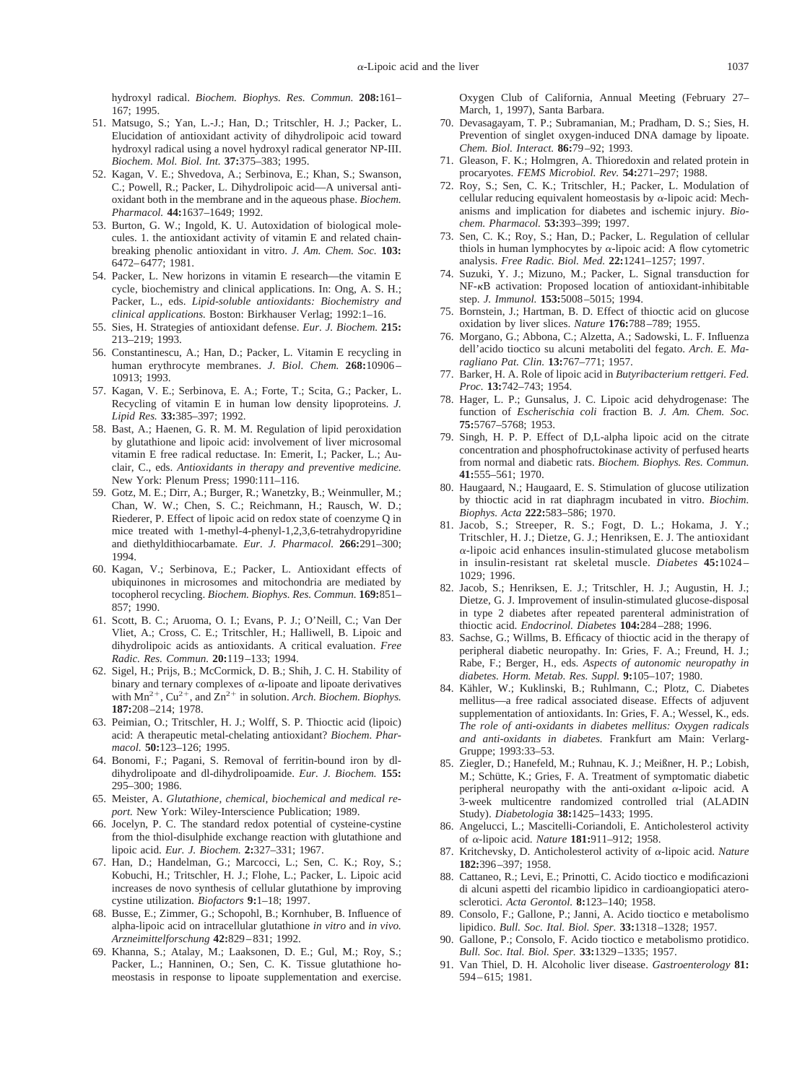hydroxyl radical. *Biochem. Biophys. Res. Commun.* **208:**161– 167; 1995.

- 51. Matsugo, S.; Yan, L.-J.; Han, D.; Tritschler, H. J.; Packer, L. Elucidation of antioxidant activity of dihydrolipoic acid toward hydroxyl radical using a novel hydroxyl radical generator NP-III. *Biochem. Mol. Biol. Int.* **37:**375–383; 1995.
- 52. Kagan, V. E.; Shvedova, A.; Serbinova, E.; Khan, S.; Swanson, C.; Powell, R.; Packer, L. Dihydrolipoic acid—A universal antioxidant both in the membrane and in the aqueous phase. *Biochem. Pharmacol.* **44:**1637–1649; 1992.
- 53. Burton, G. W.; Ingold, K. U. Autoxidation of biological molecules. 1. the antioxidant activity of vitamin E and related chainbreaking phenolic antioxidant in vitro. *J. Am. Chem. Soc.* **103:** 6472–6477; 1981.
- 54. Packer, L. New horizons in vitamin E research—the vitamin E cycle, biochemistry and clinical applications. In: Ong, A. S. H.; Packer, L., eds. *Lipid-soluble antioxidants: Biochemistry and clinical applications.* Boston: Birkhauser Verlag; 1992:1–16.
- 55. Sies, H. Strategies of antioxidant defense. *Eur. J. Biochem.* **215:** 213–219; 1993.
- 56. Constantinescu, A.; Han, D.; Packer, L. Vitamin E recycling in human erythrocyte membranes. *J. Biol. Chem.* **268:**10906– 10913; 1993.
- 57. Kagan, V. E.; Serbinova, E. A.; Forte, T.; Scita, G.; Packer, L. Recycling of vitamin E in human low density lipoproteins. *J. Lipid Res.* **33:**385–397; 1992.
- 58. Bast, A.; Haenen, G. R. M. M. Regulation of lipid peroxidation by glutathione and lipoic acid: involvement of liver microsomal vitamin E free radical reductase. In: Emerit, I.; Packer, L.; Auclair, C., eds. *Antioxidants in therapy and preventive medicine.* New York: Plenum Press; 1990:111–116.
- 59. Gotz, M. E.; Dirr, A.; Burger, R.; Wanetzky, B.; Weinmuller, M.; Chan, W. W.; Chen, S. C.; Reichmann, H.; Rausch, W. D.; Riederer, P. Effect of lipoic acid on redox state of coenzyme Q in mice treated with 1-methyl-4-phenyl-1,2,3,6-tetrahydropyridine and diethyldithiocarbamate. *Eur. J. Pharmacol.* **266:**291–300; 1994.
- 60. Kagan, V.; Serbinova, E.; Packer, L. Antioxidant effects of ubiquinones in microsomes and mitochondria are mediated by tocopherol recycling. *Biochem. Biophys. Res. Commun.* **169:**851– 857; 1990.
- 61. Scott, B. C.; Aruoma, O. I.; Evans, P. J.; O'Neill, C.; Van Der Vliet, A.; Cross, C. E.; Tritschler, H.; Halliwell, B. Lipoic and dihydrolipoic acids as antioxidants. A critical evaluation. *Free Radic. Res. Commun.* **20:**119–133; 1994.
- 62. Sigel, H.; Prijs, B.; McCormick, D. B.; Shih, J. C. H. Stability of binary and ternary complexes of  $\alpha$ -lipoate and lipoate derivatives with  $Mn^{2+}$ ,  $Cu^{2+}$ , and  $Zn^{2+}$  in solution. *Arch. Biochem. Biophys.* **187:**208–214; 1978.
- 63. Peimian, O.; Tritschler, H. J.; Wolff, S. P. Thioctic acid (lipoic) acid: A therapeutic metal-chelating antioxidant? *Biochem. Pharmacol.* **50:**123–126; 1995.
- 64. Bonomi, F.; Pagani, S. Removal of ferritin-bound iron by dldihydrolipoate and dl-dihydrolipoamide. *Eur. J. Biochem.* **155:** 295–300; 1986.
- 65. Meister, A. *Glutathione, chemical, biochemical and medical report.* New York: Wiley-Interscience Publication; 1989.
- 66. Jocelyn, P. C. The standard redox potential of cysteine-cystine from the thiol-disulphide exchange reaction with glutathione and lipoic acid. *Eur. J. Biochem.* **2:**327–331; 1967.
- 67. Han, D.; Handelman, G.; Marcocci, L.; Sen, C. K.; Roy, S.; Kobuchi, H.; Tritschler, H. J.; Flohe, L.; Packer, L. Lipoic acid increases de novo synthesis of cellular glutathione by improving cystine utilization. *Biofactors* **9:**1–18; 1997.
- 68. Busse, E.; Zimmer, G.; Schopohl, B.; Kornhuber, B. Influence of alpha-lipoic acid on intracellular glutathione *in vitro* and *in vivo. Arzneimittelforschung* **42:**829–831; 1992.
- 69. Khanna, S.; Atalay, M.; Laaksonen, D. E.; Gul, M.; Roy, S.; Packer, L.; Hanninen, O.; Sen, C. K. Tissue glutathione homeostasis in response to lipoate supplementation and exercise.

Oxygen Club of California, Annual Meeting (February 27– March, 1, 1997), Santa Barbara.

- 70. Devasagayam, T. P.; Subramanian, M.; Pradham, D. S.; Sies, H. Prevention of singlet oxygen-induced DNA damage by lipoate. *Chem. Biol. Interact.* **86:**79–92; 1993.
- 71. Gleason, F. K.; Holmgren, A. Thioredoxin and related protein in procaryotes. *FEMS Microbiol. Rev.* **54:**271–297; 1988.
- 72. Roy, S.; Sen, C. K.; Tritschler, H.; Packer, L. Modulation of cellular reducing equivalent homeostasis by  $\alpha$ -lipoic acid: Mechanisms and implication for diabetes and ischemic injury. *Biochem. Pharmacol.* **53:**393–399; 1997.
- 73. Sen, C. K.; Roy, S.; Han, D.; Packer, L. Regulation of cellular thiols in human lymphocytes by  $\alpha$ -lipoic acid: A flow cytometric analysis. *Free Radic. Biol. Med.* **22:**1241–1257; 1997.
- 74. Suzuki, Y. J.; Mizuno, M.; Packer, L. Signal transduction for NF-kB activation: Proposed location of antioxidant-inhibitable step. *J. Immunol.* **153:**5008–5015; 1994.
- 75. Bornstein, J.; Hartman, B. D. Effect of thioctic acid on glucose oxidation by liver slices. *Nature* **176:**788–789; 1955.
- 76. Morgano, G.; Abbona, C.; Alzetta, A.; Sadowski, L. F. Influenza dell'acido tioctico su alcuni metaboliti del fegato. *Arch. E. Maragliano Pat. Clin.* **13:**767–771; 1957.
- 77. Barker, H. A. Role of lipoic acid in *Butyribacterium rettgeri. Fed. Proc.* **13:**742–743; 1954.
- 78. Hager, L. P.; Gunsalus, J. C. Lipoic acid dehydrogenase: The function of *Escherischia coli* fraction B. *J. Am. Chem. Soc.* **75:**5767–5768; 1953.
- 79. Singh, H. P. P. Effect of D,L-alpha lipoic acid on the citrate concentration and phosphofructokinase activity of perfused hearts from normal and diabetic rats. *Biochem. Biophys. Res. Commun.* **41:**555–561; 1970.
- 80. Haugaard, N.; Haugaard, E. S. Stimulation of glucose utilization by thioctic acid in rat diaphragm incubated in vitro. *Biochim. Biophys. Acta* **222:**583–586; 1970.
- 81. Jacob, S.; Streeper, R. S.; Fogt, D. L.; Hokama, J. Y.; Tritschler, H. J.; Dietze, G. J.; Henriksen, E. J. The antioxidant <sup>a</sup>-lipoic acid enhances insulin-stimulated glucose metabolism in insulin-resistant rat skeletal muscle. *Diabetes* **45:**1024– 1029; 1996.
- 82. Jacob, S.; Henriksen, E. J.; Tritschler, H. J.; Augustin, H. J.; Dietze, G. J. Improvement of insulin-stimulated glucose-disposal in type 2 diabetes after repeated parenteral administration of thioctic acid. *Endocrinol. Diabetes* **104:**284–288; 1996.
- 83. Sachse, G.; Willms, B. Efficacy of thioctic acid in the therapy of peripheral diabetic neuropathy. In: Gries, F. A.; Freund, H. J.; Rabe, F.; Berger, H., eds. *Aspects of autonomic neuropathy in diabetes. Horm. Metab. Res. Suppl.* **9:**105–107; 1980.
- 84. Kähler, W.; Kuklinski, B.; Ruhlmann, C.; Plotz, C. Diabetes mellitus—a free radical associated disease. Effects of adjuvent supplementation of antioxidants. In: Gries, F. A.; Wessel, K., eds. *The role of anti-oxidants in diabetes mellitus: Oxygen radicals and anti-oxidants in diabetes.* Frankfurt am Main: Verlarg-Gruppe; 1993:33–53.
- 85. Ziegler, D.; Hanefeld, M.; Ruhnau, K. J.; Meißner, H. P.; Lobish, M.; Schütte, K.; Gries, F. A. Treatment of symptomatic diabetic peripheral neuropathy with the anti-oxidant  $\alpha$ -lipoic acid. A 3-week multicentre randomized controlled trial (ALADIN Study). *Diabetologia* **38:**1425–1433; 1995.
- 86. Angelucci, L.; Mascitelli-Coriandoli, E. Anticholesterol activity of <sup>a</sup>-lipoic acid. *Nature* **181:**911–912; 1958.
- 87. Kritchevsky, D. Anticholesterol activity of <sup>a</sup>-lipoic acid. *Nature* **182:**396–397; 1958.
- 88. Cattaneo, R.; Levi, E.; Prinotti, C. Acido tioctico e modificazioni di alcuni aspetti del ricambio lipidico in cardioangiopatici aterosclerotici. *Acta Gerontol.* **8:**123–140; 1958.
- 89. Consolo, F.; Gallone, P.; Janni, A. Acido tioctico e metabolismo lipidico. *Bull. Soc. Ital. Biol. Sper.* **33:**1318–1328; 1957.
- 90. Gallone, P.; Consolo, F. Acido tioctico e metabolismo protidico. *Bull. Soc. Ital. Biol. Sper.* **33:**1329–1335; 1957.
- 91. Van Thiel, D. H. Alcoholic liver disease. *Gastroenterology* **81:** 594–615; 1981.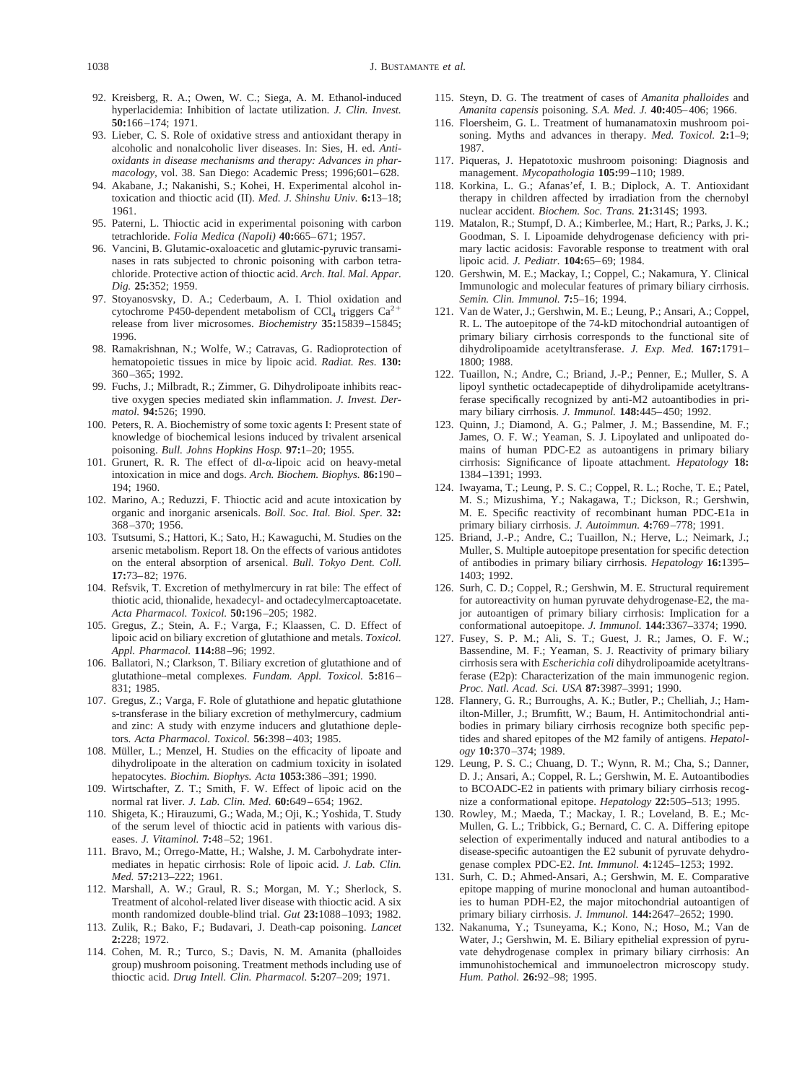- 92. Kreisberg, R. A.; Owen, W. C.; Siega, A. M. Ethanol-induced hyperlacidemia: Inhibition of lactate utilization. *J. Clin. Invest.* **50:**166–174; 1971.
- 93. Lieber, C. S. Role of oxidative stress and antioxidant therapy in alcoholic and nonalcoholic liver diseases. In: Sies, H. ed. *Antioxidants in disease mechanisms and therapy: Advances in pharmacology,* vol. 38. San Diego: Academic Press; 1996;601–628.
- 94. Akabane, J.; Nakanishi, S.; Kohei, H. Experimental alcohol intoxication and thioctic acid (II). *Med. J. Shinshu Univ.* **6:**13–18; 1961.
- 95. Paterni, L. Thioctic acid in experimental poisoning with carbon tetrachloride. *Folia Medica (Napoli)* **40:**665–671; 1957.
- 96. Vancini, B. Glutamic-oxaloacetic and glutamic-pyruvic transaminases in rats subjected to chronic poisoning with carbon tetrachloride. Protective action of thioctic acid. *Arch. Ital. Mal. Appar. Dig.* **25:**352; 1959.
- 97. Stoyanosvsky, D. A.; Cederbaum, A. I. Thiol oxidation and cytochrome P450-dependent metabolism of  $\text{CCI}_4$  triggers  $\text{Ca}^2$ release from liver microsomes. *Biochemistry* **35:**15839–15845; 1996.
- 98. Ramakrishnan, N.; Wolfe, W.; Catravas, G. Radioprotection of hematopoietic tissues in mice by lipoic acid. *Radiat. Res.* **130:** 360–365; 1992.
- 99. Fuchs, J.; Milbradt, R.; Zimmer, G. Dihydrolipoate inhibits reactive oxygen species mediated skin inflammation. *J. Invest. Dermatol.* **94:**526; 1990.
- 100. Peters, R. A. Biochemistry of some toxic agents I: Present state of knowledge of biochemical lesions induced by trivalent arsenical poisoning. *Bull. Johns Hopkins Hosp.* **97:**1–20; 1955.
- 101. Grunert, R. R. The effect of dl- $\alpha$ -lipoic acid on heavy-metal intoxication in mice and dogs. *Arch. Biochem. Biophys.* **86:**190– 194; 1960.
- 102. Marino, A.; Reduzzi, F. Thioctic acid and acute intoxication by organic and inorganic arsenicals. *Boll. Soc. Ital. Biol. Sper.* **32:** 368–370; 1956.
- 103. Tsutsumi, S.; Hattori, K.; Sato, H.; Kawaguchi, M. Studies on the arsenic metabolism. Report 18. On the effects of various antidotes on the enteral absorption of arsenical. *Bull. Tokyo Dent. Coll.* **17:**73–82; 1976.
- 104. Refsvik, T. Excretion of methylmercury in rat bile: The effect of thiotic acid, thionalide, hexadecyl- and octadecylmercaptoacetate. *Acta Pharmacol. Toxicol.* **50:**196–205; 1982.
- 105. Gregus, Z.; Stein, A. F.; Varga, F.; Klaassen, C. D. Effect of lipoic acid on biliary excretion of glutathione and metals. *Toxicol. Appl. Pharmacol.* **114:**88–96; 1992.
- 106. Ballatori, N.; Clarkson, T. Biliary excretion of glutathione and of glutathione–metal complexes. *Fundam. Appl. Toxicol.* **5:**816– 831; 1985.
- 107. Gregus, Z.; Varga, F. Role of glutathione and hepatic glutathione s-transferase in the biliary excretion of methylmercury, cadmium and zinc: A study with enzyme inducers and glutathione depletors. *Acta Pharmacol. Toxicol.* **56:**398–403; 1985.
- 108. Müller, L.; Menzel, H. Studies on the efficacity of lipoate and dihydrolipoate in the alteration on cadmium toxicity in isolated hepatocytes. *Biochim. Biophys. Acta* **1053:**386–391; 1990.
- 109. Wirtschafter, Z. T.; Smith, F. W. Effect of lipoic acid on the normal rat liver. *J. Lab. Clin. Med.* **60:**649–654; 1962.
- 110. Shigeta, K.; Hirauzumi, G.; Wada, M.; Oji, K.; Yoshida, T. Study of the serum level of thioctic acid in patients with various diseases. *J. Vitaminol.* **7:**48–52; 1961.
- 111. Bravo, M.; Orrego-Matte, H.; Walshe, J. M. Carbohydrate intermediates in hepatic cirrhosis: Role of lipoic acid. *J. Lab. Clin. Med.* **57:**213–222; 1961.
- 112. Marshall, A. W.; Graul, R. S.; Morgan, M. Y.; Sherlock, S. Treatment of alcohol-related liver disease with thioctic acid. A six month randomized double-blind trial. *Gut* **23:**1088–1093; 1982.
- 113. Zulik, R.; Bako, F.; Budavari, J. Death-cap poisoning. *Lancet* **2:**228; 1972.
- 114. Cohen, M. R.; Turco, S.; Davis, N. M. Amanita (phalloides group) mushroom poisoning. Treatment methods including use of thioctic acid. *Drug Intell. Clin. Pharmacol.* **5:**207–209; 1971.
- 115. Steyn, D. G. The treatment of cases of *Amanita phalloides* and *Amanita capensis* poisoning. *S.A. Med. J.* **40:**405–406; 1966.
- 116. Floersheim, G. L. Treatment of humanamatoxin mushroom poisoning. Myths and advances in therapy. *Med. Toxicol.* **2:**1–9; 1987.
- 117. Piqueras, J. Hepatotoxic mushroom poisoning: Diagnosis and management. *Mycopathologia* **105:**99–110; 1989.
- 118. Korkina, L. G.; Afanas'ef, I. B.; Diplock, A. T. Antioxidant therapy in children affected by irradiation from the chernobyl nuclear accident. *Biochem. Soc. Trans.* **21:**314S; 1993.
- 119. Matalon, R.; Stumpf, D. A.; Kimberlee, M.; Hart, R.; Parks, J. K.; Goodman, S. I. Lipoamide dehydrogenase deficiency with primary lactic acidosis: Favorable response to treatment with oral lipoic acid. *J. Pediatr.* **104:**65–69; 1984.
- 120. Gershwin, M. E.; Mackay, I.; Coppel, C.; Nakamura, Y. Clinical Immunologic and molecular features of primary biliary cirrhosis. *Semin. Clin. Immunol.* **7:**5–16; 1994.
- 121. Van de Water, J.; Gershwin, M. E.; Leung, P.; Ansari, A.; Coppel, R. L. The autoepitope of the 74-kD mitochondrial autoantigen of primary biliary cirrhosis corresponds to the functional site of dihydrolipoamide acetyltransferase. *J. Exp. Med.* **167:**1791– 1800; 1988.
- 122. Tuaillon, N.; Andre, C.; Briand, J.-P.; Penner, E.; Muller, S. A lipoyl synthetic octadecapeptide of dihydrolipamide acetyltransferase specifically recognized by anti-M2 autoantibodies in primary biliary cirrhosis. *J. Immunol.* **148:**445–450; 1992.
- 123. Quinn, J.; Diamond, A. G.; Palmer, J. M.; Bassendine, M. F.; James, O. F. W.; Yeaman, S. J. Lipoylated and unlipoated domains of human PDC-E2 as autoantigens in primary biliary cirrhosis: Significance of lipoate attachment. *Hepatology* **18:** 1384–1391; 1993.
- 124. Iwayama, T.; Leung, P. S. C.; Coppel, R. L.; Roche, T. E.; Patel, M. S.; Mizushima, Y.; Nakagawa, T.; Dickson, R.; Gershwin, M. E. Specific reactivity of recombinant human PDC-E1a in primary biliary cirrhosis. *J. Autoimmun.* **4:**769–778; 1991.
- 125. Briand, J.-P.; Andre, C.; Tuaillon, N.; Herve, L.; Neimark, J.; Muller, S. Multiple autoepitope presentation for specific detection of antibodies in primary biliary cirrhosis. *Hepatology* **16:**1395– 1403; 1992.
- 126. Surh, C. D.; Coppel, R.; Gershwin, M. E. Structural requirement for autoreactivity on human pyruvate dehydrogenase-E2, the major autoantigen of primary biliary cirrhosis: Implication for a conformational autoepitope. *J. Immunol.* **144:**3367–3374; 1990.
- 127. Fusey, S. P. M.; Ali, S. T.; Guest, J. R.; James, O. F. W.; Bassendine, M. F.; Yeaman, S. J. Reactivity of primary biliary cirrhosis sera with *Escherichia coli* dihydrolipoamide acetyltransferase (E2p): Characterization of the main immunogenic region. *Proc. Natl. Acad. Sci. USA* **87:**3987–3991; 1990.
- 128. Flannery, G. R.; Burroughs, A. K.; Butler, P.; Chelliah, J.; Hamilton-Miller, J.; Brumfitt, W.; Baum, H. Antimitochondrial antibodies in primary biliary cirrhosis recognize both specific peptides and shared epitopes of the M2 family of antigens. *Hepatology* **10:**370–374; 1989.
- 129. Leung, P. S. C.; Chuang, D. T.; Wynn, R. M.; Cha, S.; Danner, D. J.; Ansari, A.; Coppel, R. L.; Gershwin, M. E. Autoantibodies to BCOADC-E2 in patients with primary biliary cirrhosis recognize a conformational epitope. *Hepatology* **22:**505–513; 1995.
- 130. Rowley, M.; Maeda, T.; Mackay, I. R.; Loveland, B. E.; Mc-Mullen, G. L.; Tribbick, G.; Bernard, C. C. A. Differing epitope selection of experimentally induced and natural antibodies to a disease-specific autoantigen the E2 subunit of pyruvate dehydrogenase complex PDC-E2. *Int. Immunol.* **4:**1245–1253; 1992.
- 131. Surh, C. D.; Ahmed-Ansari, A.; Gershwin, M. E. Comparative epitope mapping of murine monoclonal and human autoantibodies to human PDH-E2, the major mitochondrial autoantigen of primary biliary cirrhosis. *J. Immunol.* **144:**2647–2652; 1990.
- 132. Nakanuma, Y.; Tsuneyama, K.; Kono, N.; Hoso, M.; Van de Water, J.; Gershwin, M. E. Biliary epithelial expression of pyruvate dehydrogenase complex in primary biliary cirrhosis: An immunohistochemical and immunoelectron microscopy study. *Hum. Pathol.* **26:**92–98; 1995.